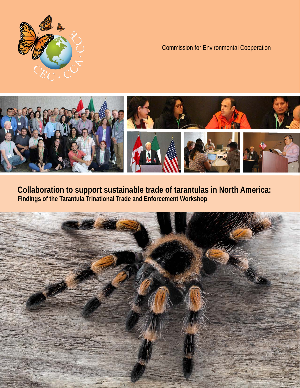

# Commission for Environmental Cooperation



**Collaboration to support sustainable trade of tarantulas in North America: Findings of the Tarantula Trinational Trade and Enforcement Workshop**

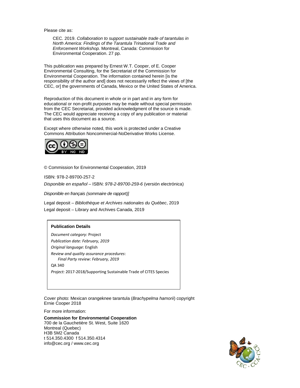Please cite as:

CEC. 2019. *Collaboration to support sustainable trade of tarantulas in North America: Findings of the Tarantula Trinational Trade and Enforcement Workshop.* Montreal, Canada: Commission for Environmental Cooperation. 27 pp.

This publication was prepared by Ernest W.T. Cooper, of E. Cooper Environmental Consulting, for the Secretariat of the Commission for Environmental Cooperation. The information contained herein [is the responsibility of the author and] does not necessarily reflect the views of [the CEC, or] the governments of Canada, Mexico or the United States of America.

Reproduction of this document in whole or in part and in any form for educational or non-profit purposes may be made without special permission from the CEC Secretariat, provided acknowledgment of the source is made. The CEC would appreciate receiving a copy of any publication or material that uses this document as a source.

Except where otherwise noted, this work is protected under a Creative Commons Attribution Noncommercial-NoDerivative Works License.



© Commission for Environmental Cooperation, 2019

ISBN: 978-2-89700-257-2

*Disponible en español –* ISBN: *978-2-89700-259-6* (versión electrónica)

*Disponible en français (sommaire de rapport)]*

Legal deposit – *Bibliothèque et Archives nationales du Québec*, 2019 Legal deposit – Library and Archives Canada, 2019

#### **Publication Details**

*Document category:* Project *Publication date: February, 2019 Original language*: English *Review and quality assurance procedures*: *Final Party review: February, 2019* QA 340

*Project:* 2017-2018/Supporting Sustainable Trade of CITES Species

Cover photo: Mexican orangeknee tarantula (*Brachypelma hamorii*) copyright Ernie Cooper 2018

For more information:

**Commission for Environmental Cooperation** 700 de la Gauchetière St. West, Suite 1620 Montreal (Quebec) H3B 5M2 Canada t 514.350.4300 f 514.350.4314 [info@cec.org](mailto:info@cec.org) / www.cec.org

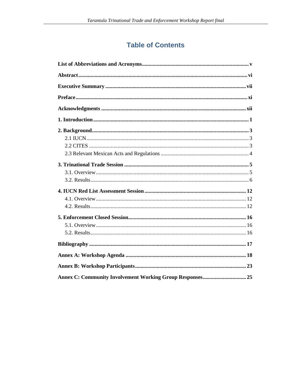# **Table of Contents**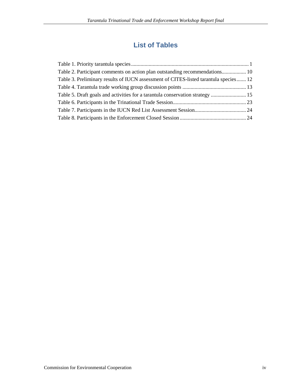# **List of Tables**

| Table 2. Participant comments on action plan outstanding recommendations 10          |  |
|--------------------------------------------------------------------------------------|--|
| Table 3. Preliminary results of IUCN assessment of CITES-listed tarantula species 12 |  |
|                                                                                      |  |
| Table 5. Draft goals and activities for a tarantula conservation strategy  15        |  |
|                                                                                      |  |
|                                                                                      |  |
|                                                                                      |  |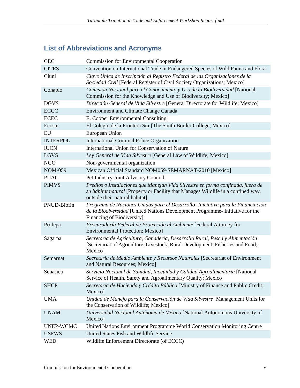# **List of Abbreviations and Acronyms**

| <b>CEC</b>       | <b>Commission for Environmental Cooperation</b>                                                                                                                                                        |
|------------------|--------------------------------------------------------------------------------------------------------------------------------------------------------------------------------------------------------|
| <b>CITES</b>     | Convention on International Trade in Endangered Species of Wild Fauna and Flora                                                                                                                        |
| Cluni            | Clave Única de Inscripción al Registro Federal de las Organizaciones de la<br>Sociedad Civil [Federal Register of Civil Society Organizations; Mexico]                                                 |
| Conabio          | Comisión Nacional para el Conocimiento y Uso de la Biodiversidad [National<br>Commission for the Knowledge and Use of Biodiversity; Mexico]                                                            |
| <b>DGVS</b>      | Dirección General de Vida Silvestre [General Directorate for Wildlife; Mexico]                                                                                                                         |
| <b>ECCC</b>      | Environment and Climate Change Canada                                                                                                                                                                  |
| <b>ECEC</b>      | E. Cooper Environmental Consulting                                                                                                                                                                     |
| Ecosur           | El Colegio de la Frontera Sur [The South Border College; Mexico]                                                                                                                                       |
| EU               | European Union                                                                                                                                                                                         |
| <b>INTERPOL</b>  | International Criminal Police Organization                                                                                                                                                             |
| <b>IUCN</b>      | International Union for Conservation of Nature                                                                                                                                                         |
| <b>LGVS</b>      | Ley General de Vida Silvestre [General Law of Wildlife; Mexico]                                                                                                                                        |
| <b>NGO</b>       | Non-governmental organization                                                                                                                                                                          |
| <b>NOM-059</b>   | Mexican Official Standard NOM059-SEMARNAT-2010 [Mexico]                                                                                                                                                |
| <b>PIJAC</b>     | Pet Industry Joint Advisory Council                                                                                                                                                                    |
| <b>PIMVS</b>     | Predios o Instalaciones que Manejan Vida Silvestre en forma confinada, fuera de<br>su hábitat natural [Property or Facility that Manages Wildlife in a confined way,<br>outside their natural habitat] |
| PNUD-Biofin      | Programa de Naciones Unidas para el Desarrollo- Iniciativa para la Financiación<br>de la Biodiversidad [United Nations Development Programme- Initiative for the<br>Financing of Biodiversity]         |
| Profepa          | Procuraduría Federal de Protección al Ambiente [Federal Attorney for<br><b>Environmental Protection; Mexico]</b>                                                                                       |
| Sagarpa          | Secretaría de Agricultura, Ganadería, Desarrollo Rural, Pesca y Alimentación<br>[Secretariat of Agriculture, Livestock, Rural Development, Fisheries and Food;<br>Mexico]                              |
| Semarnat         | Secretaría de Medio Ambiente y Recursos Naturales [Secretariat of Environment<br>and Natural Resources; Mexico]                                                                                        |
| Senasica         | Servicio Nacional de Sanidad, Inocuidad y Calidad Agroalimentaria [National<br>Service of Health, Safety and Agroalimentary Quality; Mexico]                                                           |
| <b>SHCP</b>      | Secretaría de Hacienda y Crédito Público [Ministry of Finance and Public Credit;<br>Mexico]                                                                                                            |
| <b>UMA</b>       | Unidad de Manejo para la Conservación de Vida Silvestre [Management Units for<br>the Conservation of Wildlife; Mexico]                                                                                 |
| <b>UNAM</b>      | Universidad Nacional Autónoma de México [National Autonomous University of<br>Mexico]                                                                                                                  |
| <b>UNEP-WCMC</b> | United Nations Environment Programme World Conservation Monitoring Centre                                                                                                                              |
| <b>USFWS</b>     | United States Fish and Wildlife Service                                                                                                                                                                |
| <b>WED</b>       | Wildlife Enforcement Directorate (of ECCC)                                                                                                                                                             |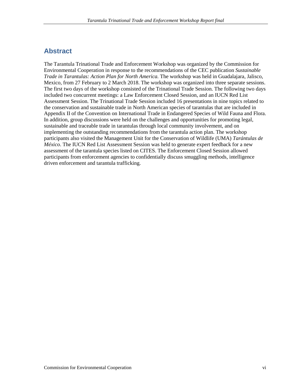## **Abstract**

The Tarantula Trinational Trade and Enforcement Workshop was organized by the Commission for Environmental Cooperation in response to the recommendations of the CEC publication *Sustainable Trade in Tarantulas: Action Plan for North America.* The workshop was held in Guadalajara, Jalisco, Mexico, from 27 February to 2 March 2018. The workshop was organized into three separate sessions. The first two days of the workshop consisted of the Trinational Trade Session. The following two days included two concurrent meetings: a Law Enforcement Closed Session, and an IUCN Red List Assessment Session. The Trinational Trade Session included 16 presentations in nine topics related to the conservation and sustainable trade in North American species of tarantulas that are included in Appendix II of the Convention on International Trade in Endangered Species of Wild Fauna and Flora. In addition, group discussions were held on the challenges and opportunities for promoting legal, sustainable and traceable trade in tarantulas through local community involvement, and on implementing the outstanding recommendations from the tarantula action plan. The workshop participants also visited the Management Unit for the Conservation of Wildlife (UMA) *Tarántulas de México*. The IUCN Red List Assessment Session was held to generate expert feedback for a new assessment of the tarantula species listed on CITES. The Enforcement Closed Session allowed participants from enforcement agencies to confidentially discuss smuggling methods, intelligence driven enforcement and tarantula trafficking.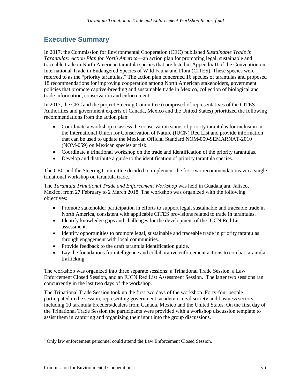## **Executive Summary**

In 2017, the Commission for Environmental Cooperation (CEC) published *Sustainable Trade in Tarantulas: Action Plan for North America*—an action plan for promoting legal, sustainable and traceable trade in North American tarantula species that are listed in Appendix II of the Convention on International Trade in Endangered Species of Wild Fauna and Flora (CITES). These species were referred to as the "priority tarantulas." The action plan concerned 16 species of tarantulas and proposed 18 recommendations for improving cooperation among North American stakeholders, government policies that promote captive-breeding and sustainable trade in Mexico, collection of biological and trade information, conservation and enforcement.

In 2017, the CEC and the project Steering Committee (comprised of representatives of the CITES Authorities and government experts of Canada, Mexico and the United States) prioritized the following recommendations from the action plan:

- Coordinate a workshop to assess the conservation status of priority tarantulas for inclusion in the International Union for Conservation of Nature (IUCN) Red List and provide information that can be used to update the Mexican Official Standard NOM-059-SEMARNAT-2010 (NOM-059) on Mexican species at risk.
- Coordinate a trinational workshop on the trade and identification of the priority tarantulas.
- Develop and distribute a guide to the identification of priority tarantula species.

The CEC and the Steering Committee decided to implement the first two recommendations via a single trinational workshop on tarantula trade.

The *Tarantula Trinational Trade and Enforcement Workshop* was held in Guadalajara, Jalisco, Mexico, from 27 February to 2 March 2018. The workshop was organized with the following objectives:

- Promote stakeholder participation in efforts to support legal, sustainable and traceable trade in North America, consistent with applicable CITES provisions related to trade in tarantulas.
- Identify knowledge gaps and challenges for the development of the IUCN Red List assessment.
- Identify opportunities to promote legal, sustainable and traceable trade in priority tarantulas through engagement with local communities.
- Provide feedback to the draft tarantula identification guide.
- Lay the foundations for intelligence and collaborative enforcement actions to combat tarantula trafficking.

The workshop was organized into three separate sessions: a Trinational Trade Session, a Law Enforcement Closed Session, and an IUCN Red List Assessment Session.[1](#page-6-0) The latter two sessions ran concurrently in the last two days of the workshop.

The Trinational Trade Session took up the first two days of the workshop. Forty-four people participated in the session, representing government, academic, civil society and business sectors, including 10 tarantula breeders/dealers from Canada, Mexico and the United States. On the first day of the Trinational Trade Session the participants were provided with a workshop discussion template to assist them in capturing and organizing their input into the group discussions.

 $\overline{a}$ 

<span id="page-6-0"></span><sup>&</sup>lt;sup>1</sup> Only law enforcement personnel could attend the Law Enforcement Closed Session.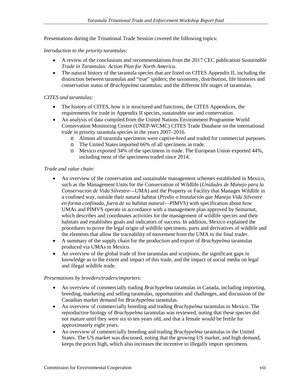Presentations during the Trinational Trade Session covered the following topics:

#### *Introduction to the priority tarantulas:*

- A review of the conclusions and recommendations from the 2017 CEC publication *Sustainable Trade in Tarantulas: Action Plan for North America*.
- The natural history of the tarantula species that are listed on CITES Appendix II, including the distinction between tarantulas and "true" spiders; the taxonomy, distribution, life histories and conservation status of *Brachypelma* tarantulas; and the different life stages of tarantulas.

#### *CITES and tarantulas:*

- The history of CITES, how it is structured and functions, the CITES Appendices, the requirements for trade in Appendix II species, sustainable use and conservation.
- An analysis of data compiled from the United Nations Environment Programme World Conservation Monitoring Centre (UNEP-WCMC) CITES Trade Database on the international trade in priority tarantula species in the years 2007–2016.
	- o Almost all tarantula specimens were captive-bred and traded for commercial purposes.
	- o The United States imported 66% of all specimens in trade.
	- o Mexico exported 34% of the specimens in trade. The European Union exported 44%, including most of the specimens traded since 2014.

#### *Trade and value chain:*

- An overview of the conservation and sustainable management schemes established in Mexico, such as the Management Units for the Conservation of Wildlife (*Unidades de Manejo para la Conservación de Vida Silvestre*—UMA) and the Property or Facility that Manages Wildlife in a confined way, outside their natural habitat (*Predio o Instalación que Maneja Vida Silvestre en forma confinada, fuera de su habitat natural*—PIMVS) with specification about how UMAs and PIMVS operate in accordance with a management plan approved by Semarnat, which describes and coordinates activities for the management of wildlife species and their habitats and establishes goals and indicators of success. In addition, Mexico explained the procedures to prove the legal origin of wildlife specimens, parts and derivatives of wildlife and the elements that allow the traceability of movement from the UMA to the final trader.
- A summary of the supply chain for the production and export of *Brachypelma* tarantulas produced via UMAs in Mexico.
- An overview of the global trade of live tarantulas and scorpions, the significant gaps in knowledge as to the extent and impact of this trade, and the impact of social media on legal and illegal wildlife trade.

#### *Presentations by breeders/traders/importers:*

- An overview of commercially trading *Brachypelma* tarantulas in Canada, including importing, breeding, marketing and selling tarantulas, opportunities and challenges, and discussion of the Canadian market demand for *Brachypelma* tarantulas.
- An overview of commercially breeding and trading *Brachypelma* tarantulas in Mexico. The reproductive biology of *Brachypelma* tarantulas was reviewed, noting that these species did not mature until they were six to ten years old, and that a female would be fertile for approximately eight years.
- An overview of commercially breeding and trading *Brachypelma* tarantulas in the United States. The US market was discussed, noting that the growing US market, and high demand, keeps the prices high, which also increases the incentive to illegally import specimens.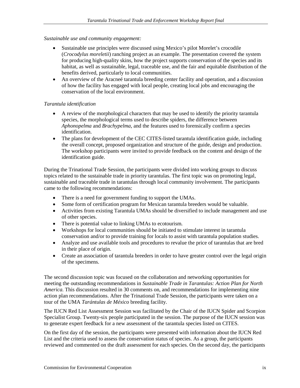#### *Sustainable use and community engagement:*

- Sustainable use principles were discussed using Mexico's pilot Morelet's crocodile (*Crocodylus moreletii*) ranching project as an example. The presentation covered the system for producing high-quality skins, how the project supports conservation of the species and its habitat, as well as sustainable, legal, traceable use, and the fair and equitable distribution of the benefits derived, particularly to local communities.
- An overview of the Aracne etarantula breeding center facility and operation, and a discussion of how the facility has engaged with local people, creating local jobs and encouraging the conservation of the local environment.

### *Tarantula identification*

- A review of the morphological characters that may be used to identify the priority tarantula species, the morphological terms used to describe spiders, the difference between *Aphonopelma* and *Brachypelma*, and the features used to forensically confirm a species identification.
- The plans for development of the CEC CITES-listed tarantula identification guide, including the overall concept, proposed organization and structure of the guide, design and production. The workshop participants were invited to provide feedback on the content and design of the identification guide.

During the Trinational Trade Session, the participants were divided into working groups to discuss topics related to the sustainable trade in priority tarantulas. The first topic was on promoting legal, sustainable and traceable trade in tarantulas through local community involvement. The participants came to the following recommendations:

- There is a need for government funding to support the UMAs.
- Some form of certification program for Mexican tarantula breeders would be valuable.
- Activities from existing Tarantula UMAs should be diversified to include management and use of other species.
- There is potential value to linking UMAs to ecotourism.
- Workshops for local communities should be initiated to stimulate interest in tarantula conservation and/or to provide training for locals to assist with tarantula population studies.
- Analyze and use available tools and procedures to revalue the price of tarantulas that are bred in their place of origin.
- Create an association of tarantula breeders in order to have greater control over the legal origin of the specimens.

The second discussion topic was focused on the collaboration and networking opportunities for meeting the outstanding recommendations in *Sustainable Trade in Tarantulas: Action Plan for North America*. This discussion resulted in 30 comments on, and recommendations for implementing nine action plan recommendations. After the Trinational Trade Session, the participants were taken on a tour of the UMA *Tarántulas de México* breeding facility.

The IUCN Red List Assessment Session was facilitated by the Chair of the IUCN Spider and Scorpion Specialist Group. Twenty-six people participated in the session. The purpose of the IUCN session was to generate expert feedback for a new assessment of the tarantula species listed on CITES.

On the first day of the session, the participants were presented with information about the IUCN Red List and the criteria used to assess the conservation status of species. As a group, the participants reviewed and commented on the draft assessment for each species. On the second day, the participants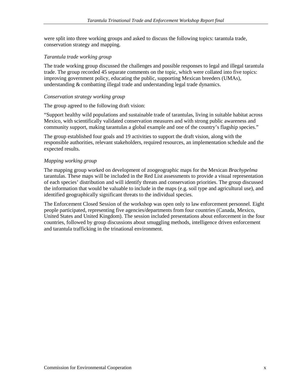were split into three working groups and asked to discuss the following topics: tarantula trade, conservation strategy and mapping.

#### *Tarantula trade working group*

The trade working group discussed the challenges and possible responses to legal and illegal tarantula trade. The group recorded 45 separate comments on the topic, which were collated into five topics: improving government policy, educating the public, supporting Mexican breeders (UMAs), understanding & combatting illegal trade and understanding legal trade dynamics.

#### *Conservation strategy working group*

The group agreed to the following draft vision:

"Support healthy wild populations and sustainable trade of tarantulas, living in suitable habitat across Mexico, with scientifically validated conservation measures and with strong public awareness and community support, making tarantulas a global example and one of the country's flagship species."

The group established four goals and 19 activities to support the draft vision, along with the responsible authorities, relevant stakeholders, required resources, an implementation schedule and the expected results.

#### *Mapping working group*

The mapping group worked on development of zoogeographic maps for the Mexican *Brachypelma* tarantulas. These maps will be included in the Red List assessments to provide a visual representation of each species' distribution and will identify threats and conservation priorities. The group discussed the information that would be valuable to include in the maps (e.g. soil type and agricultural use), and identified geographically significant threats to the individual species.

The Enforcement Closed Session of the workshop was open only to law enforcement personnel. Eight people participated, representing five agencies/departments from four countries (Canada, Mexico, United States and United Kingdom). The session included presentations about enforcement in the four countries, followed by group discussions about smuggling methods, intelligence driven enforcement and tarantula trafficking in the trinational environment.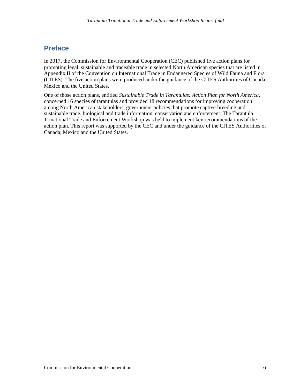# **Preface**

In 2017, the Commission for Environmental Cooperation (CEC) published five action plans for promoting legal, sustainable and traceable trade in selected North American species that are listed in Appendix II of the Convention on International Trade in Endangered Species of Wild Fauna and Flora (CITES). The five action plans were produced under the guidance of the CITES Authorities of Canada, Mexico and the United States.

One of those action plans, entitled *Sustainable Trade in Tarantulas: Action Plan for North America*, concerned 16 species of tarantulas and provided 18 recommendations for improving cooperation among North American stakeholders, government policies that promote captive-breeding and sustainable trade, biological and trade information, conservation and enforcement. The Tarantula Trinational Trade and Enforcement Workshop was held to implement key recommendations of the action plan. This report was supported by the CEC and under the guidance of the CITES Authorities of Canada, Mexico and the United States.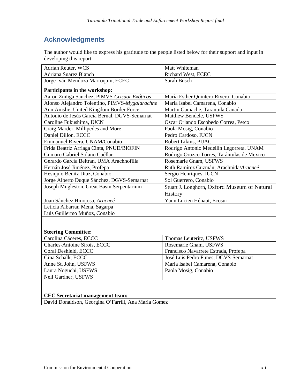# **Acknowledgments**

The author would like to express his gratitude to the people listed below for their support and input in developing this report:

| Adrian Reuter, WCS                                                                              | Matt Whiteman                                |
|-------------------------------------------------------------------------------------------------|----------------------------------------------|
| Adriana Suarez Blanch                                                                           | Richard West, ECEC                           |
| Jorge Iván Mendoza Marroquin, ECEC                                                              | Sarah Busch                                  |
| Participants in the workshop:                                                                   |                                              |
| Aaron Zuñiga Sanchez, PIMVS-Crisaor Exóticos                                                    | María Esther Quintero Rivero, Conabio        |
| Alonso Alejandro Tolentino, PIMVS-Mygalarachne                                                  | Maria Isabel Camarena, Conabio               |
| Ann Ainslie, United Kingdom Border Force                                                        | Martin Gamache, Tarantula Canada             |
| Antonio de Jesús García Bernal, DGVS-Semarnat                                                   | Matthew Bendele, USFWS                       |
| Caroline Fukushima, IUCN                                                                        | Oscar Orlando Escobedo Correa, Petco         |
| Craig Marder, Millipedes and More                                                               | Paola Mosig, Conabio                         |
| Daniel Dillon, ECCC                                                                             | Pedro Cardoso, IUCN                          |
| Emmanuel Rivera, UNAM/Conabio                                                                   | Robert Likins, PIJAC                         |
| Frida Beatriz Arriaga Cinta, PNUD/BIOFIN                                                        | Rodrigo Antonio Medellín Legorreta, UNAM     |
| Gumaro Gabriel Solano Cuéllar                                                                   | Rodrigo Orozco Torres, Tarántulas de Mexico  |
| Gerardo García Beltran, UMA Arachnofilia                                                        | Rosemarie Gnam, USFWS                        |
| Hernán José Jiménez, Profepa                                                                    | Ruth Ramírez Guzmán, Arachnida/Aracneé       |
| Hesiquio Benitz Diaz, Conabio                                                                   | Sergio Henriques, IUCN                       |
| Jorge Alberto Duque Sánchez, DGVS-Semarnat                                                      | Sol Guerrero, Conabio                        |
| Joseph Mugleston, Great Basin Serpentarium                                                      | Stuart J. Longhorn, Oxford Museum of Natural |
|                                                                                                 |                                              |
|                                                                                                 | History                                      |
|                                                                                                 | Yann Lucien Hénaut, Ecosur                   |
| Juan Sánchez Hinojosa, Aracneé<br>Leticia Albarran Mena, Sagarpa                                |                                              |
| Luis Guillermo Muñoz, Conabio                                                                   |                                              |
|                                                                                                 |                                              |
|                                                                                                 |                                              |
| <b>Steering Committee:</b>                                                                      |                                              |
| Carolina Cáceres, ECCC                                                                          | Thomas Leuteritz, USFWS                      |
| Charles-Antoine Sirois, ECCC                                                                    | Rosemarie Gnam, USFWS                        |
| Coral Deshield, ECCC                                                                            | Francisco Navarrete Estrada, Profepa         |
| Gina Schalk, ECCC                                                                               | José Luis Pedro Funes, DGVS-Semarnat         |
| Anne St. John, USFWS                                                                            | Maria Isabel Camarena, Conabio               |
| Laura Noguchi, USFWS                                                                            | Paola Mosig, Conabio                         |
| Neil Gardner, USFWS                                                                             |                                              |
|                                                                                                 |                                              |
|                                                                                                 |                                              |
| <b>CEC</b> Secretariat management team:<br>David Donaldson, Georgina O'Farrill, Ana Maria Gomez |                                              |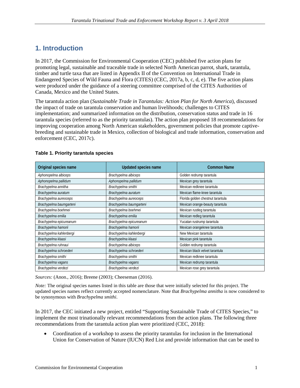# **1. Introduction**

In 2017, the Commission for Environmental Cooperation (CEC) published five action plans for promoting legal, sustainable and traceable trade in selected North American parrot, shark, tarantula, timber and turtle taxa that are listed in Appendix II of the Convention on International Trade in Endangered Species of Wild Fauna and Flora (CITES) (CEC, 2017a, b, c, d, e). The five action plans were produced under the guidance of a steering committee comprised of the CITES Authorities of Canada, Mexico and the United States.

The tarantula action plan (*Sustainable Trade in Tarantulas: Action Plan for North America*), discussed the impact of trade on tarantula conservation and human livelihoods; challenges to CITES implementation; and summarized information on the distribution, conservation status and trade in 16 tarantula species (referred to as the priority tarantulas). The action plan proposed 18 recommendations for improving cooperation among North American stakeholders, government policies that promote captivebreeding and sustainable trade in Mexico, collection of biological and trade information, conservation and enforcement (CEC, 2017c).

| Original species name   | Updated species name    | Common Name                       |
|-------------------------|-------------------------|-----------------------------------|
| Aphonopelma albiceps    | Brachypelma albiceps    | Golden redrump tarantula          |
| Aphonopelma pallidum    | Aphonopelma pallidum    | Mexican grey tarantula            |
| Brachypelma annitha     | Brachypelma smithi      | Mexican redknee tarantula         |
| Brachypelma auratum     | Brachypelma auratum     | Mexican flame-knee tarantula      |
| Brachypelma aureoceps   | Brachypelma aureoceps   | Florida golden chestnut tarantula |
| Brachypelma baumgarteni | Brachypelma baumgarteni | Mexican orange-beauty tarantula   |
| Brachypelma boehmei     | Brachypelma boehmei     | Mexican rustleg tarantula         |
| Brachypelma emilia      | Brachypelma emilia      | Mexican redleg tarantula          |
| Brachypelma epicureanum | Brachypelma epicureanum | Yucatan rustrump tarantula        |
| Brachypelma hamorii     | Brachypelma hamorii     | Mexican orangeknee tarantula      |
| Brachypelma kahlenbergi | Brachypelma kahlenbergi | New Mexican tarantula             |
| Brachypelma klaasi      | Brachypelma klaasi      | Mexican pink tarantula            |
| Brachypelma ruhnaui     | Brachypelma albiceps    | Golden redrump tarantula          |
| Brachypelma schroederi  | Brachypelma schroederi  | Mexican black velvet tarantula    |
| Brachypelma smithi      | Brachypelma smithi      | Mexican redknee tarantula         |
| Brachypelma vagans      | Brachypelma vagans      | Mexican redrump tarantula         |
| Brachypelma verdezi     | Brachypelma verdezi     | Mexican rose grey tarantula       |

#### **Table 1. Priority tarantula species**

*Sources:* (Anon., 2016); Breene (2003); Cheeseman (2016).

*Note:* The original species names listed in this table are those that were initially selected for this project. The updated species names reflect currently accepted nomenclature. Note that *Brachypelma annitha* is now considered to be synonymous with *Brachypelma smithi*.

In 2017, the CEC initiated a new project, entitled "Supporting Sustainable Trade of CITES Species," to implement the most trinationally relevant recommendations from the action plans. The following three recommendations from the tarantula action plan were prioritized (CEC, 2018):

• Coordination of a workshop to assess the priority tarantulas for inclusion in the International Union for Conservation of Nature (IUCN) Red List and provide information that can be used to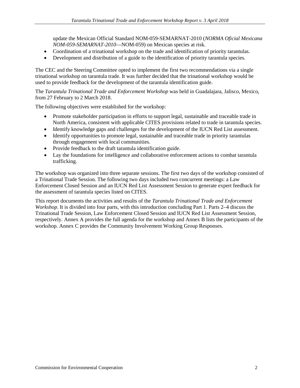update the Mexican Official Standard NOM-059-SEMARNAT-2010 (*NORMA Oficial Mexicana NOM-059-SEMARNAT-2010*—NOM-059) on Mexican species at risk.

- Coordination of a trinational workshop on the trade and identification of priority tarantulas.
- Development and distribution of a guide to the identification of priority tarantula species.

The CEC and the Steering Committee opted to implement the first two recommendations via a single trinational workshop on tarantula trade. It was further decided that the trinational workshop would be used to provide feedback for the development of the tarantula identification guide.

The *Tarantula Trinational Trade and Enforcement Workshop* was held in Guadalajara, Jalisco, Mexico, from 27 February to 2 March 2018.

The following objectives were established for the workshop:

- Promote stakeholder participation in efforts to support legal, sustainable and traceable trade in North America, consistent with applicable CITES provisions related to trade in tarantula species.
- Identify knowledge gaps and challenges for the development of the IUCN Red List assessment.
- Identify opportunities to promote legal, sustainable and traceable trade in priority tarantulas through engagement with local communities.
- Provide feedback to the draft tarantula identification guide.
- Lay the foundations for intelligence and collaborative enforcement actions to combat tarantula trafficking.

The workshop was organized into three separate sessions. The first two days of the workshop consisted of a Trinational Trade Session. The following two days included two concurrent meetings: a Law Enforcement Closed Session and an IUCN Red List Assessment Session to generate expert feedback for the assessment of tarantula species listed on CITES.

This report documents the activities and results of the *Tarantula Trinational Trade and Enforcement Workshop*. It is divided into four parts, with this introduction concluding Part 1. Parts 2–4 discuss the Trinational Trade Session, Law Enforcement Closed Session and IUCN Red List Assessment Session, respectively. Annex A provides the full agenda for the workshop and Annex B lists the participants of the workshop. Annex C provides the Community Involvement Working Group Responses.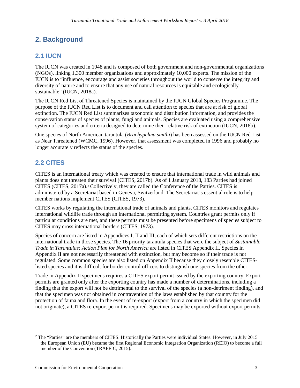# **2. Background**

## **2.1 IUCN**

The IUCN was created in 1948 and is composed of both government and non-governmental organizations (NGOs), linking 1,300 member organizations and approximately 10,000 experts. The mission of the IUCN is to "influence, encourage and assist societies throughout the world to conserve the integrity and diversity of nature and to ensure that any use of natural resources is equitable and ecologically sustainable" (IUCN, 2018a).

The IUCN Red List of Threatened Species is maintained by the IUCN Global Species Programme. The purpose of the IUCN Red List is to document and call attention to species that are at risk of global extinction. The IUCN Red List summarizes taxonomic and distribution information, and provides the conservation status of species of plants, fungi and animals. Species are evaluated using a comprehensive system of categories and criteria designed to determine their relative risk of extinction (IUCN, 2018b).

One species of North American tarantula (*Brachypelma smithi*) has been assessed on the IUCN Red List as Near Threatened (WCMC, 1996). However, that assessment was completed in 1996 and probably no longer accurately reflects the status of the species.

## **2.2 CITES**

 $\overline{a}$ 

CITES is an international treaty which was created to ensure that international trade in wild animals and plants does not threaten their survival (CITES, 2017b). As of 1 January 2018, 183 Parties had joined CITES (CITES, 2017a).[2](#page-14-0) Collectively, they are called the Conference of the Parties. CITES is administered by a Secretariat based in Geneva, Switzerland. The Secretariat's essential role is to help member nations implement CITES (CITES, 1973).

CITES works by regulating the international trade of animals and plants. CITES monitors and regulates international wildlife trade through an international permitting system. Countries grant permits only if particular conditions are met, and these permits must be presented before specimens of species subject to CITES may cross international borders (CITES, 1973).

Species of concern are listed in Appendices I, II and III, each of which sets different restrictions on the international trade in those species. The 16 priority tarantula species that were the subject of *Sustainable Trade in Tarantulas: Action Plan for North America* are listed in CITES Appendix II. Species in Appendix II are not necessarily threatened with extinction, but may become so if their trade is not regulated. Some common species are also listed on Appendix II because they closely resemble CITESlisted species and it is difficult for border control officers to distinguish one species from the other.

Trade in Appendix II specimens requires a CITES export permit issued by the exporting country. Export permits are granted only after the exporting country has made a number of determinations, including a finding that the export will not be detrimental to the survival of the species (a non-detriment finding), and that the specimen was not obtained in contravention of the laws established by that country for the protection of fauna and flora. In the event of re-export (export from a country in which the specimen did not originate), a CITES re-export permit is required. Specimens may be exported without export permits

<span id="page-14-0"></span><sup>&</sup>lt;sup>2</sup> The "Parties" are the members of CITES. Historically the Parties were individual States. However, in July 2015 the European Union (EU) became the first Regional Economic Integration Organization (REIO) to become a full member of the Convention (TRAFFIC, 2015).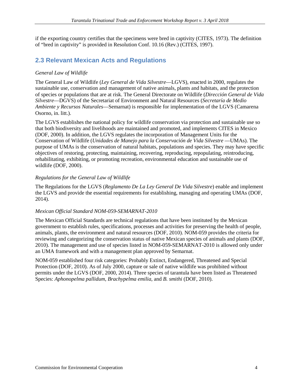if the exporting country certifies that the specimens were bred in captivity (CITES, 1973). The definition of "bred in captivity" is provided in Resolution Conf. 10.16 (Rev.) (CITES, 1997).

## **2.3 Relevant Mexican Acts and Regulations**

### *General Law of Wildlife*

The General Law of Wildlife (*Ley General de Vida Silvestre*—LGVS), enacted in 2000, regulates the sustainable use, conservation and management of native animals, plants and habitats, and the protection of species or populations that are at risk. The General Directorate on Wildlife (*Dirección General de Vida Silvestre*—DGVS) of the Secretariat of Environment and Natural Resources (*Secretaría de Medio Ambiente y Recursos Naturales*—Semarnat) is responsible for implementation of the LGVS (Camarena Osorno, in. litt.).

The LGVS establishes the national policy for wildlife conservation via protection and sustainable use so that both biodiversity and livelihoods are maintained and promoted, and implements CITES in Mexico (DOF, 2000). In addition, the LGVS regulates the incorporation of Management Units for the Conservation of Wildlife (*Unidades de Manejo para la Conservación de Vida Silvestre* —UMAs). The purpose of UMAs is the conservation of natural habitats, populations and species. They may have specific objectives of restoring, protecting, maintaining, recovering, reproducing, repopulating, reintroducing, rehabilitating, exhibiting, or promoting recreation, environmental education and sustainable use of wildlife (DOF, 2000).

### *Regulations for the General Law of Wildlife*

The Regulations for the LGVS (*Reglamento De La Ley General De Vida Silvestre*) enable and implement the LGVS and provide the essential requirements for establishing, managing and operating UMAs (DOF, 2014).

### *Mexican Official Standard NOM-059-SEMARNAT-2010*

The Mexican Official Standards are technical regulations that have been instituted by the Mexican government to establish rules, specifications, processes and activities for preserving the health of people, animals, plants, the environment and natural resources (DOF, 2010). NOM-059 provides the criteria for reviewing and categorizing the conservation status of native Mexican species of animals and plants (DOF, 2010). The management and use of species listed in NOM-059-SEMARNAT-2010 is allowed only under an UMA framework and with a management plan approved by Semarnat.

NOM-059 established four risk categories: Probably Extinct, Endangered, Threatened and Special Protection (DOF, 2010). As of July 2000, capture or sale of native wildlife was prohibited without permits under the LGVS (DOF, 2000, 2014). Three species of tarantula have been listed as Threatened Species: *Aphonopelma pallidum*, *Brachypelma emilia*, and *B. smithi* (DOF, 2010).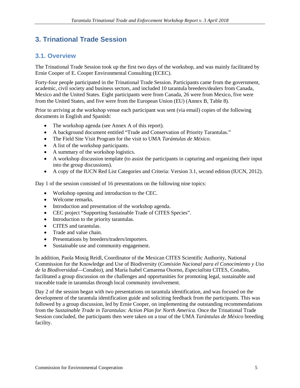# **3. Trinational Trade Session**

## **3.1. Overview**

The Trinational Trade Session took up the first two days of the workshop, and was mainly facilitated by Ernie Cooper of E. Cooper Environmental Consulting (ECEC).

Forty-four people participated in the Trinational Trade Session. Participants came from the government, academic, civil society and business sectors, and included 10 tarantula breeders/dealers from Canada, Mexico and the United States. Eight participants were from Canada, 26 were from Mexico, five were from the United States, and five were from the European Union (EU) (Annex B, Table 8).

Prior to arriving at the workshop venue each participant was sent (via email) copies of the following documents in English and Spanish:

- The workshop agenda (see Annex A of this report).
- A background document entitled "Trade and Conservation of Priority Tarantulas."
- The Field Site Visit Program for the visit to UMA *Tarántulas de México*.
- A list of the workshop participants.
- A summary of the workshop logistics.
- A workshop discussion template (to assist the participants in capturing and organizing their input into the group discussions).
- A copy of the IUCN Red List Categories and Criteria: Version 3.1, second edition (IUCN, 2012).

Day 1 of the session consisted of 16 presentations on the following nine topics:

- Workshop opening and introduction to the CEC.
- Welcome remarks.
- Introduction and presentation of the workshop agenda.
- CEC project "Supporting Sustainable Trade of CITES Species".
- Introduction to the priority tarantulas.
- CITES and tarantulas.
- Trade and value chain.
- Presentations by breeders/traders/importers.
- Sustainable use and community engagement.

In addition, Paola Mosig Reidl, Coordinator of the Mexican CITES Scientific Authority, National Commission for the Knowledge and Use of Biodiversity (*Comisión Nacional para el Conocimiento y Uso de la Biodiversidad*—Conabio), and María Isabel Camarena Osorno, *Especialista* CITES, Conabio, facilitated a group discussion on the challenges and opportunities for promoting legal, sustainable and traceable trade in tarantulas through local community involvement.

Day 2 of the session began with two presentations on tarantula identification, and was focused on the development of the tarantula identification guide and soliciting feedback from the participants. This was followed by a group discussion, led by Ernie Cooper, on implementing the outstanding recommendations from the *Sustainable Trade in Tarantulas: Action Plan for North America*. Once the Trinational Trade Session concluded, the participants then were taken on a tour of the UMA *Tarántulas de México* breeding facility.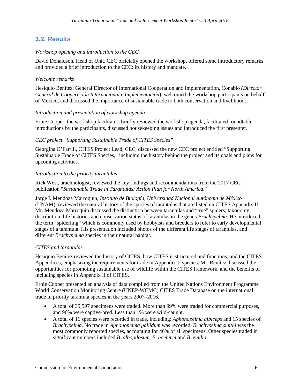## **3.2. Results**

### *Workshop opening and introduction to the CEC*

David Donaldson, Head of Unit, CEC officially opened the workshop, offered some introductory remarks and provided a brief introduction to the CEC: its history and mandate.

### *Welcome remarks*

Hesiquio Benítez, General Director of International Cooperation and Implementation, Conabio *(Director General de Cooperación Internacional e Implementación*), welcomed the workshop participants on behalf of Mexico, and discussed the importance of sustainable trade to both conservation and livelihoods.

### *Introduction and presentation of workshop agenda*

Ernie Cooper, the workshop facilitator, briefly reviewed the workshop agenda, facilitated roundtable introductions by the participants, discussed housekeeping issues and introduced the first presenter.

### *CEC project "Supporting Sustainable Trade of CITES Species"*

Georgina O'Farrill, CITES Project Lead, CEC, discussed the new CEC project entitled "Supporting Sustainable Trade of CITES Species," including the history behind the project and its goals and plans for upcoming activities.

### *Introduction to the priority tarantulas*

Rick West, arachnologist, reviewed the key findings and recommendations from the 2017 CEC publication "*Sustainable Trade in Tarantulas: Action Plan for North America*."

Jorge I. Mendoza Marroquín, *Instituto de Biología*, *Universidad Nacional Autónoma de México*  (UNAM), reviewed the natural history of the species of tarantulas that are listed on CITES Appendix II. Mr. Mendoza Marroquín discussed the distinction between tarantulas and "true" spiders; taxonomy, distribution, life histories and conservation status of tarantulas in the genus *Brachypelma*. He introduced the term "spiderling" which is commonly used by hobbyists and breeders to refer to early developmental stages of a tarantula. His presentation included photos of the different life stages of tarantulas, and different *Brachypelma* species in their natural habitat.

### *CITES and tarantulas*

Hesiquio Benítez reviewed the history of CITES; how CITES is structured and functions; and the CITES Appendices, emphasizing the requirements for trade in Appendix II species. Mr. Benítez discussed the opportunities for promoting sustainable use of wildlife within the CITES framework, and the benefits of including species in Appendix II of CITES.

Ernie Cooper presented an analysis of data compiled from the United Nations Environment Programme World Conservation Monitoring Centre (UNEP-WCMC) CITES Trade Database on the international trade in priority tarantula species in the years 2007–2016.

- A total of 39,597 specimens were traded. More than 99% were traded for commercial purposes, and 96% were captive-bred. Less than 1% were wild-caught.
- A total of 16 species were recorded in trade, including: *Aphonopelma albiceps* and 15 species of *Brachypelma*. No trade in *Aphonopelma pallidum* was recorded. *Brachypelma smithi* was the most commonly reported species, accounting for 46% of all specimens. Other species traded in significant numbers included *B. albopilosum*, *B. boehmei* and *B. emilia*.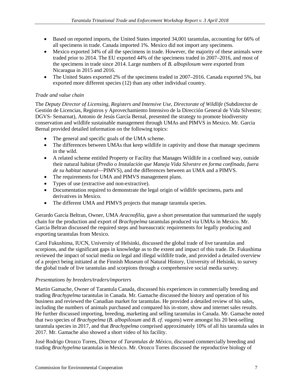- Based on reported imports, the United States imported 34,001 tarantulas, accounting for 66% of all specimens in trade. Canada imported 1%. Mexico did not import any specimens.
- Mexico exported 34% of all the specimens in trade. However, the majority of these animals were traded prior to 2014. The EU exported 44% of the specimens traded in 2007–2016, and most of the specimens in trade since 2014. Large numbers of *B. albopilosum* were exported from Nicaragua in 2015 and 2016.
- The United States exported 2% of the specimens traded in 2007–2016. Canada exported 5%, but exported more different species (12) than any other individual country.

### *Trade and value chain*

The *Deputy Director of Licensing, Registers and Intensive Use, Directorate of Wildlife* (Subdirector de Gestión de Licencias, Registros y Aprovechamiento Intensivo de la Dirección General de Vida Silvestre; DGVS- Semarnat), Antonio de Jesús García Bernal, presented the strategy to promote biodiversity conservation and wildlife sustainable management through UMAs and PIMVS in Mexico. Mr. Garcia Bernal provided detailed information on the following topics:

- The general and specific goals of the UMA scheme.
- The differences between UMAs that keep wildlife in captivity and those that manage specimens in the wild.
- A related scheme entitled Property or Facility that Manages Wildlife in a confined way, outside their natural habitat (*Predio o Instalación que Maneja Vida Silvestre en forma confinada, fuera de su habitat natural*—PIMVS), and the differences between an UMA and a PIMVS.
- The requirements for UMA and PIMVS management plans.
- Types of use (extractive and non-extractive).
- Documentation required to demonstrate the legal origin of wildlife specimens, parts and derivatives in Mexico.
- The different UMA and PIMVS projects that manage tarantula species.

Gerardo García Beltran, Owner, UMA *Aracnofilia*, gave a short presentation that summarized the supply chain for the production and export of *Brachypelma* tarantulas produced via UMAs in Mexico. Mr. Garcia Beltran discussed the required steps and bureaucratic requirements for legally producing and exporting tarantulas from Mexico.

Carol Fukushima, IUCN, University of Helsinki, discussed the global trade of live tarantulas and scorpions, and the significant gaps in knowledge as to the extent and impact of this trade. Dr. Fukushima reviewed the impact of social media on legal and illegal wildlife trade, and provided a detailed overview of a project being initiated at the Finnish Museum of Natural History, University of Helsinki, to survey the global trade of live tarantulas and scorpions through a comprehensive social media survey.

### *Presentations by breeders/traders/importers*

Martin Gamache, Owner of Tarantula Canada, discussed his experiences in commercially breeding and trading *Brachypelma* tarantulas in Canada. Mr. Gamache discussed the history and operation of his business and reviewed the Canadian market for tarantulas. He provided a detailed review of his sales, including the numbers of animals purchased and compared his in-store, show and internet sales results. He further discussed importing, breeding, marketing and selling tarantulas in Canada. Mr. Gamache noted that two species of *Brachypelma* (*B. albopilosum* and *B. cf. vagans*) were amongst his 20 best-selling tarantula species in 2017, and that *Brachypelma* comprised approximately 10% of all his tarantula sales in 2017. Mr. Gamache also showed a short video of his facility.

José Rodrigo Orozco Torres, Director of *Tarantulas de México*, discussed commercially breeding and trading *Brachypelma* tarantulas in Mexico. Mr. Orozco Torres discussed the reproductive biology of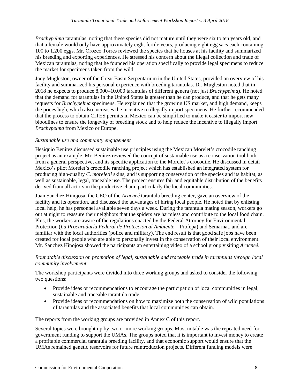*Brachypelma* tarantulas, noting that these species did not mature until they were six to ten years old, and that a female would only have approximately eight fertile years, producing eight egg sacs each containing 100 to 1,200 eggs. Mr. Orozco Torres reviewed the species that he houses at his facility and summarized his breeding and exporting experiences. He stressed his concern about the illegal collection and trade of Mexican tarantulas, noting that he founded his operation specifically to provide legal specimens to reduce the market for specimens taken from the wild.

Joey Mugleston, owner of the Great Basin Serpentarium in the United States, provided an overview of his facility and summarized his personal experience with breeding tarantulas. Dr. Mugleston noted that in 2018 he expects to produce 8,000–10,000 tarantulas of different genera (not just *Brachypelma*). He noted that the demand for tarantulas in the United States is greater than he can produce, and that he gets many requests for *Brachypelma* specimens. He explained that the growing US market, and high demand, keeps the prices high, which also increases the incentive to illegally import specimens. He further recommended that the process to obtain CITES permits in Mexico can be simplified to make it easier to import new bloodlines to ensure the longevity of breeding stock and to help reduce the incentive to illegally import *Brachypelma* from Mexico or Europe.

### *Sustainable use and community engagement*

Hesiquio Benítez discussed sustainable use principles using the Mexican Morelet's crocodile ranching project as an example. Mr. Benítez reviewed the concept of sustainable use as a conservation tool both from a general perspective, and its specific application to the Morelet's crocodile. He discussed in detail Mexico's pilot Morelet's crocodile ranching project which has established an integrated system for producing high-quality *C. moreletii* skins, and is supporting conservation of the species and its habitat, as well as sustainable, legal, traceable use. The project ensures fair and equitable distribution of the benefits derived from all actors in the productive chain, particularly the local communities.

Juan Sanchez Hinojosa, the CEO of the *Aracneé* tarantula breeding center, gave an overview of the facility and its operation, and discussed the advantages of hiring local people. He noted that by enlisting local help, he has personnel available seven days a week. During the tarantula mating season, workers go out at night to reassure their neighbors that the spiders are harmless and contribute to the local food chain. Plus, the workers are aware of the regulations enacted by the Federal Attorney for Environmental Protection (*La Procuraduría Federal de Protección al Ambiente*—Profepa) and Semarnat, and are familiar with the local authorities (police and military). The end result is that good safe jobs have been created for local people who are able to personally invest in the conservation of their local environment. Mr. Sanchez Hinojosa showed the participants an entertaining video of a school group visiting *Aracneé*.

### *Roundtable discussion on promotion of legal, sustainable and traceable trade in tarantulas through local community involvement*

The workshop participants were divided into three working groups and asked to consider the following two questions:

- Provide ideas or recommendations to encourage the participation of local communities in legal, sustainable and traceable tarantula trade.
- Provide ideas or recommendations on how to maximize both the conservation of wild populations of tarantulas and the associated benefits that local communities can obtain.

The reports from the working groups are provided in Annex C of this report.

Several topics were brought up by two or more working groups. Most notable was the repeated need for government funding to support the UMAs. The groups noted that it is important to invest money to create a profitable commercial tarantula breeding facility, and that economic support would ensure that the UMAs remained genetic reservoirs for future reintroduction projects. Different funding models were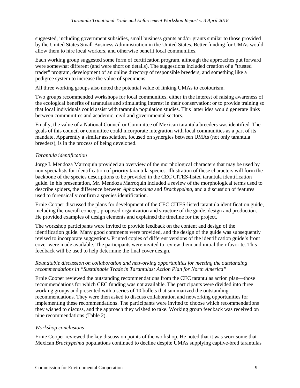suggested, including government subsidies, small business grants and/or grants similar to those provided by the United States Small Business Administration in the United States. Better funding for UMAs would allow them to hire local workers, and otherwise benefit local communities.

Each working group suggested some form of certification program, although the approaches put forward were somewhat different (and were short on details). The suggestions included creation of a "trusted trader" program, development of an online directory of responsible breeders, and something like a pedigree system to increase the value of specimens.

All three working groups also noted the potential value of linking UMAs to ecotourism.

Two groups recommended workshops for local communities, either in the interest of raising awareness of the ecological benefits of tarantulas and stimulating interest in their conservation; or to provide training so that local individuals could assist with tarantula population studies. This latter idea would generate links between communities and academic, civil and governmental sectors.

Finally, the value of a National Council or Committee of Mexican tarantula breeders was identified. The goals of this council or committee could incorporate integration with local communities as a part of its mandate. Apparently a similar association, focused on synergies between UMAs (not only tarantula breeders), is in the process of being developed.

### *Tarantula identification*

Jorge I. Mendoza Marroquín provided an overview of the morphological characters that may be used by non-specialists for identification of priority tarantula species. Illustration of these characters will form the backbone of the species descriptions to be provided in the CEC CITES-listed tarantula identification guide. In his presentation, Mr. Mendoza Marroquín included a review of the morphological terms used to describe spiders, the difference between *Aphonopelma* and *Brachypelma*, and a discussion of features used to forensically confirm a species identification.

Ernie Cooper discussed the plans for development of the CEC CITES-listed tarantula identification guide, including the overall concept, proposed organization and structure of the guide, design and production. He provided examples of design elements and explained the timeline for the project.

The workshop participants were invited to provide feedback on the content and design of the identification guide. Many good comments were provided, and the design of the guide was subsequently revised to incorporate suggestions. Printed copies of different versions of the identification guide's front cover were made available. The participants were invited to review them and initial their favorite. This feedback will be used to help determine the final cover design.

### *Roundtable discussion on collaboration and networking opportunities for meeting the outstanding recommendations in "Sustainable Trade in Tarantulas: Action Plan for North America"*

Ernie Cooper reviewed the outstanding recommendations from the CEC tarantulas action plan—those recommendations for which CEC funding was not available. The participants were divided into three working groups and presented with a series of 10 bullets that summarized the outstanding recommendations. They were then asked to discuss collaboration and networking opportunities for implementing these recommendations. The participants were invited to choose which recommendations they wished to discuss, and the approach they wished to take. Working group feedback was received on nine recommendations (Table 2).

### *Workshop conclusions*

Ernie Cooper reviewed the key discussion points of the workshop. He noted that it was worrisome that Mexican *Brachypelma* populations continued to decline despite UMAs supplying captive-bred tarantulas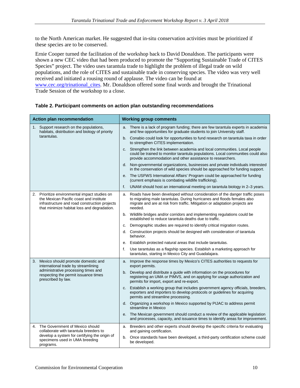to the North American market. He suggested that in-situ conservation activities must be prioritized if these species are to be conserved.

Ernie Cooper turned the facilitation of the workshop back to David Donaldson. The participants were shown a new CEC video that had been produced to promote the "Supporting Sustainable Trade of CITES Species" project. The video uses tarantula trade to highlight the problem of illegal trade on wild populations, and the role of CITES and sustainable trade in conserving species. The video was very well received and initiated a rousing round of applause. The video can be found at [www.cec.org/trinational\\_cites.](http://www.cec.org/trinational_cites) Mr. Donaldson offered some final words and brought the Trinational Trade Session of the workshop to a close.

| <b>Action plan recommendation</b>                      |                                                                                                                                                                                          | <b>Working group comments</b> |                                                                                                                                                                                                                                                  |  |
|--------------------------------------------------------|------------------------------------------------------------------------------------------------------------------------------------------------------------------------------------------|-------------------------------|--------------------------------------------------------------------------------------------------------------------------------------------------------------------------------------------------------------------------------------------------|--|
| 1. Support research on the populations,<br>tarantulas. | habitats, distribution and biology of priority                                                                                                                                           |                               | a. There is a lack of program funding; there are few tarantula experts in academia<br>and few opportunities for graduate students to join University staff.                                                                                      |  |
|                                                        |                                                                                                                                                                                          |                               | b. Conabio could look for opportunities to fund research on tarantula taxa in order<br>to strengthen CITES implementation.                                                                                                                       |  |
|                                                        |                                                                                                                                                                                          |                               | c. Strengthen the link between academia and local communities. Local people<br>could be trained to monitor tarantula populations. Local communities could also<br>provide accommodation and other assistance to researchers.                     |  |
|                                                        |                                                                                                                                                                                          |                               | d. Non-governmental organizations, businesses and private individuals interested<br>in the conservation of wild species should be approached for funding support.                                                                                |  |
|                                                        |                                                                                                                                                                                          |                               | e. The USFWS International Affairs' Program could be approached for funding<br>(current emphasis is combating wildlife trafficking).                                                                                                             |  |
|                                                        |                                                                                                                                                                                          | f.                            | UNAM should host an international meeting on tarantula biology in 2-3 years.                                                                                                                                                                     |  |
|                                                        | 2. Prioritize environmental impact studies on<br>the Mexican Pacific coast and institute<br>infrastructure and road construction projects<br>that minimize habitat loss and degradation. | a.                            | Roads have been developed without consideration of the danger traffic poses<br>to migrating male tarantulas. During hurricanes and floods females also<br>migrate and are at risk from traffic. Mitigation or adaptation projects are<br>needed. |  |
|                                                        |                                                                                                                                                                                          |                               | b. Wildlife bridges and/or corridors and implementing regulations could be<br>established to reduce tarantula deaths due to traffic.                                                                                                             |  |
|                                                        |                                                                                                                                                                                          | C.                            | Demographic studies are required to identify critical migration routes.                                                                                                                                                                          |  |
|                                                        |                                                                                                                                                                                          |                               | d. Construction projects should be designed with consideration of tarantula<br>behavior.                                                                                                                                                         |  |
|                                                        |                                                                                                                                                                                          | е.                            | Establish protected natural areas that include tarantulas.                                                                                                                                                                                       |  |
|                                                        |                                                                                                                                                                                          | f.                            | Use tarantulas as a flagship species. Establish a marketing approach for<br>tarantulas, starting in Mexico City and Guadalajara.                                                                                                                 |  |
|                                                        | 3. Mexico should promote domestic and<br>international trade by streamlining                                                                                                             |                               | a. Improve the response times by Mexico's CITES authorities to requests for<br>export permits.                                                                                                                                                   |  |
|                                                        | administrative processing times and<br>respecting the permit issuance times<br>prescribed by law.                                                                                        |                               | b. Develop and distribute a guide with information on the procedures for<br>registering an UMA or PIMVS, and on applying for usage authorization and<br>permits for import, export and re-export.                                                |  |
|                                                        |                                                                                                                                                                                          |                               | c. Establish a working group that includes government agency officials, breeders,<br>exporters and importers to develop protocols or guidelines for acquiring<br>permits and streamline processing.                                              |  |
|                                                        |                                                                                                                                                                                          |                               | d. Organizing a workshop in Mexico supported by PIJAC to address permit<br>streamline in Mexico                                                                                                                                                  |  |
|                                                        |                                                                                                                                                                                          |                               | e. The Mexican government should conduct a review of the applicable legislation<br>and processes, capacity, and issuance times to identify areas for improvement.                                                                                |  |
|                                                        | 4. The Government of Mexico should<br>collaborate with tarantula breeders to                                                                                                             |                               | a. Breeders and other experts should develop the specific criteria for evaluating<br>and gaining certification.                                                                                                                                  |  |
|                                                        | develop a system for certifying the origin of<br>specimens used in UMA breeding<br>programs.                                                                                             | b.                            | Once standards have been developed, a third-party certification scheme could<br>be developed.                                                                                                                                                    |  |

### **Table 2. Participant comments on action plan outstanding recommendations**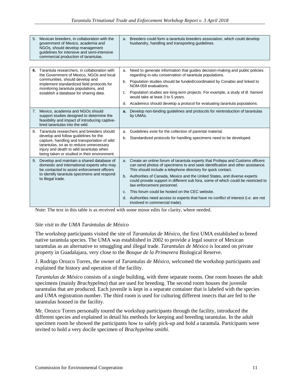| 5.<br>Mexican breeders, in collaboration with the<br>government of Mexico, academia and<br>NGOs, should develop management<br>quidelines for intensive and semi-intensive<br>commercial production of tarantulas.            | a. Breeders could form a tarantula breeders association, which could develop<br>husbandry, handling and transporting guidelines.                                                                                                  |
|------------------------------------------------------------------------------------------------------------------------------------------------------------------------------------------------------------------------------|-----------------------------------------------------------------------------------------------------------------------------------------------------------------------------------------------------------------------------------|
|                                                                                                                                                                                                                              |                                                                                                                                                                                                                                   |
| Tarantula researchers, in collaboration with<br>6.<br>the Government of Mexico, NGOs and local                                                                                                                               | Need to generate information that guides decision-making and public policies<br>a.<br>regarding in-situ conservation of tarantula populations.                                                                                    |
| communities, should develop and<br>implement standardized field protocols for<br>monitoring tarantula populations, and<br>establish a database for sharing data.                                                             | b. Population studies should be funded/coordinated by Conabio and linked to<br>NOM-059 evaluations.                                                                                                                               |
|                                                                                                                                                                                                                              | Population studies are long-term projects. For example, a study of B. hamorii<br>$C_{r}$<br>would take at least 3 to 5 years.                                                                                                     |
|                                                                                                                                                                                                                              | Academics should develop a protocol for evaluating tarantula populations.<br>d.                                                                                                                                                   |
| 7.<br>Mexico, academia and NGOs should<br>support studies designed to determine the<br>feasibility and impact of introducing captive-<br>bred tarantulas into the wild.                                                      | Develop non-binding guidelines and protocols for reintroduction of tarantulas<br>а.<br>by UMAs.                                                                                                                                   |
| Tarantula researchers and breeders should<br>8.                                                                                                                                                                              | Guidelines exist for the collection of parental material.<br>a.                                                                                                                                                                   |
| develop and follow guidelines for the<br>capture, handling and transportation of wild<br>tarantulas, so as to reduce unnecessary<br>injury and death to wild tarantulas when<br>being taken or studied in their environment. | Standardized protocols for handling specimens need to be developed.<br>b.                                                                                                                                                         |
| 9. Develop and maintain a shared database of<br>domestic and international experts who may<br>be contacted to assist enforcement officers                                                                                    | a. Create an online forum of tarantula experts that Profepa and Customs officers<br>can send photos of specimens to and seek identification and other assistance.<br>This should include a telephone directory for quick contact. |
| to identify tarantula specimens and respond<br>to illegal trade.                                                                                                                                                             | b. Authorities of Canada, Mexico and the United States, and diverse experts<br>could provide support in different sub fora, some of which could be restricted to<br>law enforcement personnel.                                    |
|                                                                                                                                                                                                                              | This forum could be hosted on the CEC website.<br>C <sub>1</sub>                                                                                                                                                                  |
|                                                                                                                                                                                                                              | d. Authorities need access to experts that have no conflict of interest (i.e. are not<br>involved in commercial trade).                                                                                                           |

Note: The text in this table is as received with some minor edits for clarity, where needed.

#### *Site visit to the UMA Tarántulas de México*

The workshop participants visited the site of *Tarantulas de México*, the first UMA established to breed native tarantula species. The UMA was established in 2002 to provide a legal source of Mexican tarantulas as an alternative to smuggling and illegal trade. *Tarantulas de México* is located on private property in Guadalajara, very close to the *Bosque de la Primavera* Biological Reserve.

J. Rodrigo Orozco Torres, the owner of *Tarantulas de México*, welcomed the workshop participants and explained the history and operation of the facility.

*Tarantulas de México* consists of a single building, with three separate rooms. One room houses the adult specimens (mainly *Brachypelma*) that are used for breeding. The second room houses the juvenile tarantulas that are produced. Each juvenile is kept in a separate container that is labeled with the species and UMA registration number. The third room is used for culturing different insects that are fed to the tarantulas housed in the facility.

Mr. Orozco Torres personally toured the workshop participants through the facility, introduced the different species and explained in detail his methods for keeping and breeding tarantulas. In the adult specimen room he showed the participants how to safely pick-up and hold a tarantula. Participants were invited to hold a very docile specimen of *Brachypelma smithi*.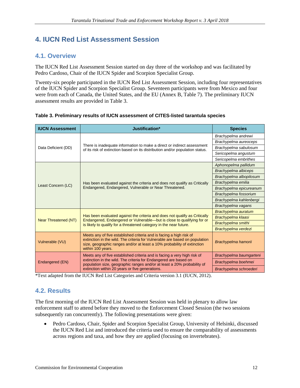# **4. IUCN Red List Assessment Session**

## **4.1. Overview**

The IUCN Red List Assessment Session started on day three of the workshop and was facilitated by Pedro Cardoso, Chair of the IUCN Spider and Scorpion Specialist Group.

Twenty-six people participated in the IUCN Red List Assessment Session, including four representatives of the IUCN Spider and Scorpion Specialist Group. Seventeen participants were from Mexico and four were from each of Canada, the United States, and the EU (Annex B, Table 7). The preliminary IUCN assessment results are provided in Table 3.

| <b>IUCN Assessment</b>      | Justification*                                                                                                                                                                                                                                     | <b>Species</b>            |
|-----------------------------|----------------------------------------------------------------------------------------------------------------------------------------------------------------------------------------------------------------------------------------------------|---------------------------|
| Data Deficient (DD)         |                                                                                                                                                                                                                                                    | Brachypelma andrewi       |
|                             |                                                                                                                                                                                                                                                    | Brachypelma aureoceps     |
|                             | There is inadequate information to make a direct or indirect assessment<br>of its risk of extinction based on its distribution and/or population status.                                                                                           | Brachypelma sabulosum     |
|                             |                                                                                                                                                                                                                                                    | Sericopelma angustum      |
|                             |                                                                                                                                                                                                                                                    | Sericopelma embrithes     |
|                             |                                                                                                                                                                                                                                                    | Aphonopelma pallidum      |
|                             |                                                                                                                                                                                                                                                    | Brachypelma albiceps      |
|                             |                                                                                                                                                                                                                                                    | Brachypelma albopilosum   |
|                             | Has been evaluated against the criteria and does not qualify as Critically<br>Endangered, Endangered, Vulnerable or Near Threatened.                                                                                                               | Brachypelma emilia        |
| Least Concern (LC)          |                                                                                                                                                                                                                                                    | Brachypelma epicureanum   |
|                             |                                                                                                                                                                                                                                                    | Brachypelma fossorium     |
|                             |                                                                                                                                                                                                                                                    | Brachypelma kahlenbergi   |
|                             |                                                                                                                                                                                                                                                    | Brachypelma vagans        |
|                             |                                                                                                                                                                                                                                                    | Brachypelma auratum       |
| <b>Near Threatened (NT)</b> | Has been evaluated against the criteria and does not qualify as Critically<br>Endangered, Endangered or Vulnerable—but is close to qualifying for or                                                                                               | Brachypelma klaasi        |
|                             | is likely to qualify for a threatened category in the near future.                                                                                                                                                                                 | <b>Brachypelma smithi</b> |
|                             |                                                                                                                                                                                                                                                    | Brachypelma verdezi       |
| Vulnerable (VU)             | Meets any of five established criteria and is facing a high risk of<br>extinction in the wild. The criteria for Vulnerable are based on population<br>size, geographic ranges and/or at least a 10% probability of extinction<br>within 100 years. | Brachypelma hamorii       |
|                             | Meets any of five established criteria and is facing a very high risk of                                                                                                                                                                           | Brachypelma baumgarteni   |
| Endangered (EN)             | extinction in the wild. The criteria for Endangered are based on<br>population size, geographic ranges and/or at least a 20% probability of                                                                                                        | Brachypelma boehmei       |
|                             | extinction within 20 years or five generations.                                                                                                                                                                                                    | Brachypelma schroederi    |

\*Text adapted from the IUCN Red List Categories and Criteria version 3.1 (IUCN, 2012).

## **4.2. Results**

The first morning of the IUCN Red List Assessment Session was held in plenary to allow law enforcement staff to attend before they moved to the Enforcement Closed Session (the two sessions subsequently ran concurrently). The following presentations were given:

• Pedro Cardoso, Chair, Spider and Scorpion Specialist Group, University of Helsinki, discussed the IUCN Red List and introduced the criteria used to ensure the comparability of assessments across regions and taxa, and how they are applied (focusing on invertebrates).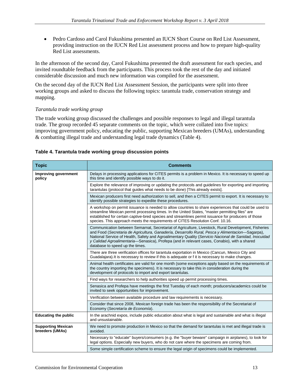• Pedro Cardoso and Carol Fukushima presented an IUCN Short Course on Red List Assessment, providing instruction on the IUCN Red List assessment process and how to prepare high-quality Red List assessments.

In the afternoon of the second day, Carol Fukushima presented the draft assessment for each species, and invited roundtable feedback from the participants. This process took the rest of the day and initiated considerable discussion and much new information was compiled for the assessment.

On the second day of the IUCN Red List Assessment Session, the participants were split into three working groups and asked to discuss the following topics: tarantula trade, conservation strategy and mapping.

### *Tarantula trade working group*

The trade working group discussed the challenges and possible responses to legal and illegal tarantula trade. The group recorded 45 separate comments on the topic, which were collated into five topics: improving government policy, educating the public, supporting Mexican breeders (UMAs), understanding & combatting illegal trade and understanding legal trade dynamics (Table 4).

### **Table 4. Tarantula trade working group discussion points**

| <b>Topic</b>                                 | <b>Comments</b>                                                                                                                                                                                                                                                                                                                                                                                                                                      |
|----------------------------------------------|------------------------------------------------------------------------------------------------------------------------------------------------------------------------------------------------------------------------------------------------------------------------------------------------------------------------------------------------------------------------------------------------------------------------------------------------------|
| Improving government<br>policy               | Delays in processing applications for CITES permits is a problem in Mexico. It is necessary to speed up<br>this time and identify possible ways to do it.                                                                                                                                                                                                                                                                                            |
|                                              | Explore the relevance of improving or updating the protocols and guidelines for exporting and importing<br>tarantulas (protocol that guides what needs to be done) [This already exists].                                                                                                                                                                                                                                                            |
|                                              | Mexican producers first need authorization to sell, and then a CITES permit to export. It is necessary to<br>identify possible strategies to expedite these procedures.                                                                                                                                                                                                                                                                              |
|                                              | A workshop on permit issuance is needed to allow countries to share experiences that could be used to<br>streamline Mexican permit processing times. In the United States, "master permitting files" are<br>established for certain captive-bred species and streamlines permit issuance for producers of those<br>species. This approach meets the requirements of CITES Resolution Conf. 10.16.                                                    |
|                                              | Communication between Semarnat, Secretariat of Agriculture, Livestock, Rural Development, Fisheries<br>and Food (Secretaria de Agricultura, Ganadería, Desarrollo Rural, Pesca y Alimentacion-Sagarpa),<br>National Service of Health, Safety and Agroalimentary Quality (Servicio Nacional de Sanidad, Inocuidad<br>y Calidad Agroalimentaria-Senasica), Profepa (and in relevant cases, Conabio), with a shared<br>database to speed up the times. |
|                                              | There are three verification offices for tarantula exportation in Mexico (Cancun, Mexico City and<br>Guadalajara). It is necessary to review if this is adequate or f it is necessary to make changes.                                                                                                                                                                                                                                               |
|                                              | Animal health certificates are valid for one month (some exceptions apply based on the requirements of<br>the country importing the specimens). It is necessary to take this in consideration during the<br>development of protocols to import and export tarantulas.                                                                                                                                                                                |
|                                              | Find ways for researchers to help authorities speed up permit processing times.                                                                                                                                                                                                                                                                                                                                                                      |
|                                              | Senasica and Profepa have meetings the first Tuesday of each month; producers/academics could be<br>invited to seek opportunities for improvement.                                                                                                                                                                                                                                                                                                   |
|                                              | Verification between available procedure and law requirements is necessary.                                                                                                                                                                                                                                                                                                                                                                          |
|                                              | Consider that since 2008, Mexican foreign trade has been the responsibility of the Secretariat of<br>Economy (Secretaría de Economía).                                                                                                                                                                                                                                                                                                               |
| <b>Educating the public</b>                  | In the arachnid expos, include public education about what is legal and sustainable and what is illegal<br>and unsustainable.                                                                                                                                                                                                                                                                                                                        |
| <b>Supporting Mexican</b><br>breeders (UMAs) | We need to promote production in Mexico so that the demand for tarantulas is met and illegal trade is<br>avoided.                                                                                                                                                                                                                                                                                                                                    |
|                                              | Necessary to "educate" buyers/consumers (e.g. the "buyer beware" campaign in airplanes), to look for<br>legal options. Especially new buyers, who do not care where the specimens are coming from.                                                                                                                                                                                                                                                   |
|                                              | Some simple certification scheme to ensure the legal origin of specimens could be implemented.                                                                                                                                                                                                                                                                                                                                                       |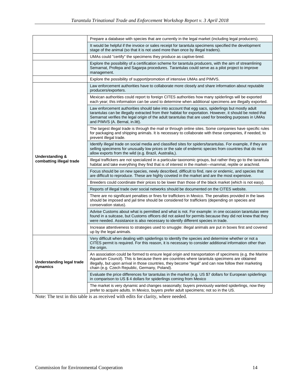|                                              | Prepare a database with species that are currently in the legal market (including legal producers).                                                                                                                                                                                                                                                                |
|----------------------------------------------|--------------------------------------------------------------------------------------------------------------------------------------------------------------------------------------------------------------------------------------------------------------------------------------------------------------------------------------------------------------------|
|                                              | It would be helpful if the invoice or sales receipt for tarantula specimens specified the development<br>stage of the animal (so that it is not used more than once by illegal traders).                                                                                                                                                                           |
|                                              | UMAs could "certify" the specimens they produce as captive-bred.                                                                                                                                                                                                                                                                                                   |
|                                              | Explore the possibility of a certification scheme for tarantula producers, with the aim of streamlining<br>Semarnat, Profepa and Sagarpa procedures. Tarantulas could serve as a pilot project to improve<br>management.                                                                                                                                           |
|                                              | Explore the possibility of support/promotion of intensive UMAs and PIMVS.                                                                                                                                                                                                                                                                                          |
|                                              | Law enforcement authorities have to collaborate more closely and share information about reputable<br>producers/exporters.                                                                                                                                                                                                                                         |
|                                              | Mexican authorities could report to foreign CITES authorities how many spiderlings will be exported<br>each year; this information can be used to determine when additional specimens are illegally exported.                                                                                                                                                      |
|                                              | Law enforcement authorities should take into account that egg sacs, spiderlings but mostly adult<br>tarantulas can be illegally extracted from their habitat for exportation. However, it should be noted that<br>Semarnat verifies the legal origin of the adult tarantulas that are used for breeding purposes in UMAs<br>and PIMVS (A. Bernal, in.litt).        |
|                                              | The largest illegal trade is through the mail or through online sites. Some companies have specific rules<br>for packaging and shipping animals. It is necessary to collaborate with these companies, if needed, to<br>prevent illegal trade.                                                                                                                      |
| <b>Understanding &amp;</b>                   | Identify illegal trade on social media and classified sites for spiders/tarantulas. For example, if they are<br>selling specimens for unusually low prices or the sale of endemic species from countries that do not<br>allow exports from the wild (e.g. Brazil, Australia,).                                                                                     |
| combatting illegal trade                     | Illegal traffickers are not specialized in a particular taxonomic groups, but rather they go to the tarantula<br>habitat and take everything they find that is of interest in the market-mammal, reptile or arachnid.                                                                                                                                              |
|                                              | Focus should be on new species, newly described, difficult to find, rare or endemic, and species that<br>are difficult to reproduce. These are highly coveted in the market and are the most expensive.                                                                                                                                                            |
|                                              | Breeders could coordinate their prices to be lower than those of the black market (which is not easy).                                                                                                                                                                                                                                                             |
|                                              | Reports of illegal trade over social networks should be documented on the CITES website.                                                                                                                                                                                                                                                                           |
|                                              | There are no significant penalties or fines for traffickers in Mexico. The penalties provided in the laws<br>should be imposed and jail time should be considered for traffickers (depending on species and<br>conservation status).                                                                                                                               |
|                                              | Advise Customs about what is permitted and what is not. For example: in one occasion tarantulas were<br>found in a suitcase, but Customs officers did not asked for permits because they did not knew that they<br>were needed. Assistance is also necessary to identify different species in trade.                                                               |
|                                              | Increase attentiveness to strategies used to smuggle: illegal animals are put in boxes first and covered<br>up by the legal animals.                                                                                                                                                                                                                               |
|                                              | Very difficult when dealing with spiderlings to identify the species and determine whether or not a<br>CITES permit is required. For this reason, it is necessary to consider additional information other than<br>the origin.                                                                                                                                     |
| <b>Understanding legal trade</b><br>dynamics | An association could be formed to ensure legal origin and transportation of specimens (e.g. the Marine<br>Aquarium Council). This is because there are countries where tarantula specimens are obtained<br>illegally, but upon arrival in those countries, they become "legal" and can now follow their marketing<br>chain (e.g. Czech Republic, Germany, Poland). |
|                                              | Evaluate the price differences for tarantulas in the market (e.g. US \$7 dollars for European spiderlings<br>in comparison to US \$4 dollars for spiderlings coming from Mexico                                                                                                                                                                                    |
|                                              | The market is very dynamic and changes seasonally; buyers previously wanted spiderlings, now they<br>prefer to acquire adults. In Mexico, buyers prefer adult specimens; not so in the US.                                                                                                                                                                         |

Note: The text in this table is as received with edits for clarity, where needed.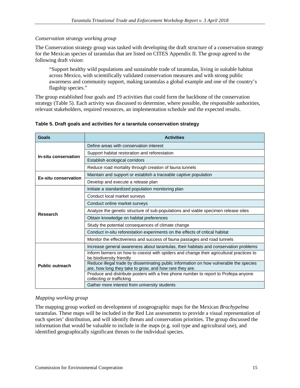#### *Conservation strategy working group*

The Conservation strategy group was tasked with developing the draft structure of a conservation strategy for the Mexican species of tarantulas that are listed on CITES Appendix II. The group agreed to the following draft vision:

"Support healthy wild populations and sustainable trade of tarantulas, living in suitable habitat across Mexico, with scientifically validated conservation measures and with strong public awareness and community support, making tarantulas a global example and one of the country's flagship species."

The group established four goals and 19 activities that could form the backbone of the conservation strategy (Table 5). Each activity was discussed to determine, where possible, the responsible authorities, relevant stakeholders, required resources, an implementation schedule and the expected results.

| Goals                       | <b>Activities</b>                                                                                                                                 |
|-----------------------------|---------------------------------------------------------------------------------------------------------------------------------------------------|
| In-situ conservation        | Define areas with conservation interest                                                                                                           |
|                             | Support habitat restoration and reforestation                                                                                                     |
|                             | Establish ecological corridors                                                                                                                    |
|                             | Reduce road mortality through creation of fauna tunnels                                                                                           |
| <b>Ex-situ conservation</b> | Maintain and support or establish a traceable captive population                                                                                  |
|                             | Develop and execute a release plan                                                                                                                |
|                             | Initiate a standardized population monitoring plan                                                                                                |
|                             | Conduct local market surveys                                                                                                                      |
|                             | Conduct online market surveys                                                                                                                     |
| <b>Research</b>             | Analyze the genetic structure of sub-populations and viable specimen release sites                                                                |
|                             | Obtain knowledge on habitat preferences                                                                                                           |
|                             | Study the potential consequences of climate change                                                                                                |
|                             | Conduct in-situ reforestation experiments on the effects of critical habitat                                                                      |
|                             | Monitor the effectiveness and success of fauna passages and road tunnels                                                                          |
|                             | Increase general awareness about tarantulas, their habitats and conservation problems                                                             |
|                             | Inform farmers on how to coexist with spiders and change their agricultural practices to<br>be biodiversity friendly                              |
| <b>Public outreach</b>      | Reduce illegal trade by disseminating public information on how vulnerable the species<br>are, how long they take to grow, and how rare they are. |
|                             | Produce and distribute posters with a free phone number to report to Profepa anyone<br>collecting or trafficking                                  |
|                             | Gather more interest from university students                                                                                                     |

#### **Table 5. Draft goals and activities for a tarantula conservation strategy**

#### *Mapping working group*

The mapping group worked on development of zoogeographic maps for the Mexican *Brachypelma* tarantulas. These maps will be included in the Red List assessments to provide a visual representation of each species' distribution, and will identify threats and conservation priorities. The group discussed the information that would be valuable to include in the maps (e.g. soil type and agricultural use), and identified geographically significant threats to the individual species.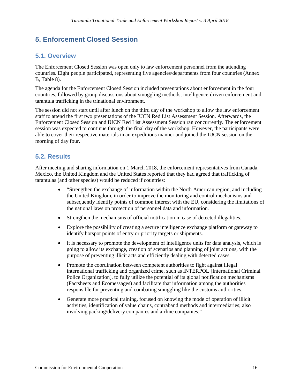## **5. Enforcement Closed Session**

## **5.1. Overview**

The Enforcement Closed Session was open only to law enforcement personnel from the attending countries. Eight people participated, representing five agencies/departments from four countries (Annex B, Table 8).

The agenda for the Enforcement Closed Session included presentations about enforcement in the four countries, followed by group discussions about smuggling methods, intelligence-driven enforcement and tarantula trafficking in the trinational environment.

The session did not start until after lunch on the third day of the workshop to allow the law enforcement staff to attend the first two presentations of the IUCN Red List Assessment Session. Afterwards, the Enforcement Closed Session and IUCN Red List Assessment Session ran concurrently. The enforcement session was expected to continue through the final day of the workshop. However, the participants were able to cover their respective materials in an expeditious manner and joined the IUCN session on the morning of day four.

### **5.2. Results**

After meeting and sharing information on 1 March 2018, the enforcement representatives from Canada, Mexico, the United Kingdom and the United States reported that they had agreed that trafficking of tarantulas (and other species) would be reduced if countries:

- "Strengthen the exchange of information within the North American region, and including the United Kingdom, in order to improve the monitoring and control mechanisms and subsequently identify points of common interest with the EU, considering the limitations of the national laws on protection of personnel data and information.
- Strengthen the mechanisms of official notification in case of detected illegalities.
- Explore the possibility of creating a secure intelligence exchange platform or gateway to identify hotspot points of entry or priority targets or shipments.
- It is necessary to promote the development of intelligence units for data analysis, which is going to allow its exchange, creation of scenarios and planning of joint actions, with the purpose of preventing illicit acts and efficiently dealing with detected cases.
- Promote the coordination between competent authorities to fight against illegal international trafficking and organized crime, such as INTERPOL [International Criminal Police Organization], to fully utilize the potential of its global notification mechanisms (Factsheets and Ecomessages) and facilitate that information among the authorities responsible for preventing and combating smuggling like the customs authorities.
- Generate more practical training, focused on knowing the mode of operation of illicit activities, identification of value chains, contraband methods and intermediaries; also involving packing/delivery companies and airline companies."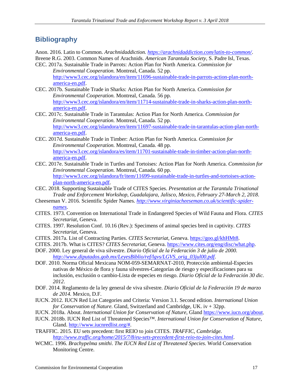## **Bibliography**

Anon. 2016. Latin to Common. *Arachnidaddiction.<https://arachnidaddiction.com/latin-to-common/>*.

Breene R.G. 2003. Common Names of Arachnids. *American Tarantula Society,* S. Padre Isl, Texas. CEC. 2017a. Sustainable Trade in Parrots: Action Plan for North America. *Commission for Environmental Cooperation.* Montreal, Canada. 52 pp.

[http://www3.cec.org/islandora/en/item/11696-sustainable-trade-in-parrots-action-plan-north](http://www3.cec.org/islandora/en/item/11696-sustainable-trade-in-parrots-action-plan-north-america-en.pdf)[america-en.pdf.](http://www3.cec.org/islandora/en/item/11696-sustainable-trade-in-parrots-action-plan-north-america-en.pdf) 

- CEC. 2017b. Sustainable Trade in Sharks: Action Plan for North America. *Commission for Environmental Cooperation.* Montreal, Canada. 56 pp. [http://www3.cec.org/islandora/en/item/11714-sustainable-trade-in-sharks-action-plan-north](http://www3.cec.org/islandora/en/item/11714-sustainable-trade-in-sharks-action-plan-north-america-en.pdf)[america-en.pdf.](http://www3.cec.org/islandora/en/item/11714-sustainable-trade-in-sharks-action-plan-north-america-en.pdf)
- CEC. 2017c. Sustainable Trade in Tarantulas: Action Plan for North America. *Commission for Environmental Cooperation.* Montreal, Canada. 52 pp. [http://www3.cec.org/islandora/en/item/11697-sustainable-trade-in-tarantulas-action-plan-north](http://www3.cec.org/islandora/en/item/11697-sustainable-trade-in-tarantulas-action-plan-north-america-en.pdf)[america-en.pdf.](http://www3.cec.org/islandora/en/item/11697-sustainable-trade-in-tarantulas-action-plan-north-america-en.pdf)
- CEC. 2017d. Sustainable Trade in Timber: Action Plan for North America. *Commission for Environmental Cooperation.* Montreal, Canada. 48 pp. [http://www3.cec.org/islandora/es/item/11701-sustainable-trade-in-timber-action-plan-north](http://www3.cec.org/islandora/es/item/11701-sustainable-trade-in-timber-action-plan-north-america-en.pdf)[america-en.pdf.](http://www3.cec.org/islandora/es/item/11701-sustainable-trade-in-timber-action-plan-north-america-en.pdf)
- CEC. 2017e. Sustainable Trade in Turtles and Tortoises: Action Plan for North America. *Commission for Environmental Cooperation.* Montreal, Canada. 60 pp. [http://www3.cec.org/islandora/fr/item/11699-sustainable-trade-in-turtles-and-tortoises-action](http://www3.cec.org/islandora/fr/item/11699-sustainable-trade-in-turtles-and-tortoises-action-plan-north-america-en.pdf)[plan-north-america-en.pdf.](http://www3.cec.org/islandora/fr/item/11699-sustainable-trade-in-turtles-and-tortoises-action-plan-north-america-en.pdf)
- CEC. 2018. Supporting Sustainable Trade of CITES Species. *Presentation at the Tarantula Trinational Trade and Enforcement Workshop, Guadalajara, Jalisco, Mexico, February 27-March 2, 2018*.
- Cheeseman V. 2016. Scientific Spider Names. *[http://www.virginiacheeseman.co.uk/scientific-spider](http://www.virginiacheeseman.co.uk/scientific-spider-names)[names](http://www.virginiacheeseman.co.uk/scientific-spider-names)*.
- CITES. 1973. Convention on International Trade in Endangered Species of Wild Fauna and Flora. *CITES Secretariat*, Geneva.
- CITES. 1997. Resolution Conf. 10.16 (Rev.): Specimens of animal species bred in captivity. *CITES Secretariat*, Geneva.
- CITES. 2017a. List of Contracting Parties. *CITES Secretariat*, Geneva. [https://goo.gl/khHMt8.](https://goo.gl/khHMt8)
- CITES. 2017b. What is CITES? *CITES Secretariat*, Geneva. [https://www.cites.org/eng/disc/what.php.](https://www.cites.org/eng/disc/what.php)
- DOF. 2000. Ley general de viva silvestre. *Diario Oficial de la Federación 3 de julio de 2000. [http://www.diputados.gob.mx/LeyesBiblio/ref/lgvs/LGVS\\_orig\\_03jul00.pdf](http://www.diputados.gob.mx/LeyesBiblio/ref/lgvs/LGVS_orig_03jul00.pdf)*.
- DOF. 2010. Norma Oficial Mexicana NOM-059-SEMARNAT-2010, Protección ambiental-Especies nativas de México de flora y fauna silvestres-Categorías de riesgo y especificaciones para su inclusión, exclusión o cambio-Lista de especies en riesgo. *Diario Oficial de la Federación 30 dic. 2012*.
- DOF. 2014. Reglamento de la ley general de viva silvestre. *Diario Oficial de la Federación 19 de marzo de 2014.* Mexico, D.F.
- IUCN. 2012. IUCN Red List Categories and Criteria: Version 3.1. Second edition. *International Union for Conservation of Nature.* Gland, Switzerland and Cambridge, UK. iv + 32pp.
- IUCN. 2018a. About. *International Union for Conservation of Nature*, Gland [https://www.iucn.org/about.](https://www.iucn.org/about)
- IUCN. 2018b. IUCN Red List of Threatened Species™. *International Union for Conservation of Nature*, Gland. [http://www.iucnredlist.org/#.](http://www.iucnredlist.org/)
- TRAFFIC. 2015. EU sets precedent: first REIO to join CITES. *TRAFFIC, Cambridge. <http://www.traffic.org/home/2015/7/8/eu-sets-precedent-first-reio-to-join-cites.html>*.
- WCMC. 1996. *Brachypelma smithi*. *The IUCN Red List of Threatened Species.* World Conservation Monitoring Centre.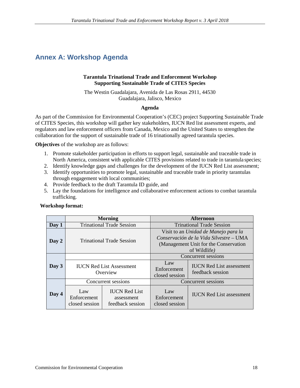# **Annex A: Workshop Agenda**

#### **Tarantula Trinational Trade and Enforcement Workshop Supporting Sustainable Trade of CITES Species**

The Westin Guadalajara, Avenida de Las Rosas 2911, 44530 Guadalajara, Jalisco, Mexico

#### **Agenda**

As part of the Commission for Environmental Cooperation's (CEC) project Supporting Sustainable Trade of CITES Species, this workshop will gather key stakeholders, IUCN Red list assessment experts, and regulators and law enforcement officers from Canada, Mexico and the United States to strengthen the collaboration for the support of sustainable trade of 16 trinationally agreed tarantula species.

**Objectives** of the workshop are as follows:

- 1. Promote stakeholder participation in efforts to support legal, sustainable and traceable trade in North America, consistent with applicable CITES provisions related to trade in tarantula species;
- 2. Identify knowledge gaps and challenges for the development of the IUCN Red List assessment;
- 3. Identify opportunities to promote legal, sustainable and traceable trade in priority tarantulas through engagement with local communities;
- 4. Provide feedback to the draft Tarantula ID guide, and
- 5. Lay the foundations for intelligence and collaborative enforcement actions to combat tarantula trafficking.

|       | <b>Morning</b>                              |                                                        | <b>Afternoon</b>                                                                                                                         |                                                     |
|-------|---------------------------------------------|--------------------------------------------------------|------------------------------------------------------------------------------------------------------------------------------------------|-----------------------------------------------------|
| Day 1 | <b>Trinational Trade Session</b>            |                                                        | <b>Trinational Trade Session</b>                                                                                                         |                                                     |
| Day 2 | <b>Trinational Trade Session</b>            |                                                        | Visit to an Unidad de Manejo para la<br>Conservación de la Vida Silvestre - UMA<br>(Management Unit for the Conservation<br>of Wildlife) |                                                     |
|       | <b>IUCN Red List Assessment</b><br>Overview |                                                        |                                                                                                                                          | Concurrent sessions                                 |
| Day 3 |                                             |                                                        | Law<br>Enforcement<br>closed session                                                                                                     | <b>IUCN Red List assessment</b><br>feedback session |
|       | Concurrent sessions                         |                                                        |                                                                                                                                          | Concurrent sessions                                 |
| Day 4 | Law<br>Enforcement<br>closed session        | <b>IUCN Red List</b><br>assessment<br>feedback session | Law<br>Enforcement<br>closed session                                                                                                     | <b>IUCN</b> Red List assessment                     |

#### **Workshop format:**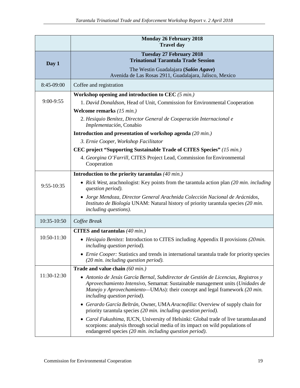|              | <b>Monday 26 February 2018</b><br><b>Travel day</b>                                                                                                                                                                                                                                      |  |  |
|--------------|------------------------------------------------------------------------------------------------------------------------------------------------------------------------------------------------------------------------------------------------------------------------------------------|--|--|
| Day 1        | <b>Tuesday 27 February 2018</b><br><b>Trinational Tarantula Trade Session</b>                                                                                                                                                                                                            |  |  |
|              | The Westin Guadalajara (Salón Agave)<br>Avenida de Las Rosas 2911, Guadalajara, Jalisco, Mexico                                                                                                                                                                                          |  |  |
| 8:45-09:00   | Coffee and registration                                                                                                                                                                                                                                                                  |  |  |
|              | Workshop opening and introduction to CEC $(5 min.)$                                                                                                                                                                                                                                      |  |  |
| 9:00-9:55    | 1. David Donaldson, Head of Unit, Commission for Environmental Cooperation                                                                                                                                                                                                               |  |  |
|              | Welcome remarks $(15 min.)$                                                                                                                                                                                                                                                              |  |  |
|              | 2. Hesiquio Benítez, Director General de Cooperación Internacional e<br>Implementación, Conabio                                                                                                                                                                                          |  |  |
|              | Introduction and presentation of workshop agenda (20 min.)                                                                                                                                                                                                                               |  |  |
|              | 3. Ernie Cooper, Workshop Facilitator                                                                                                                                                                                                                                                    |  |  |
|              | CEC project "Supporting Sustainable Trade of CITES Species" (15 min.)                                                                                                                                                                                                                    |  |  |
|              | 4. Georgina O'Farrill, CITES Project Lead, Commission for Environmental<br>Cooperation                                                                                                                                                                                                   |  |  |
|              | Introduction to the priority tarantulas $(40 \text{ min.})$                                                                                                                                                                                                                              |  |  |
| $9:55-10:35$ | • Rick West, arachnologist: Key points from the tarantula action plan (20 min. including<br>question period).                                                                                                                                                                            |  |  |
|              | • Jorge Mendoza, Director General Arachnida Colección Nacional de Arácnidos,<br>Instituto de Biología UNAM: Natural history of priority tarantula species (20 min.<br>including questions).                                                                                              |  |  |
| 10:35-10:50  | Coffee Break                                                                                                                                                                                                                                                                             |  |  |
|              | CITES and tarantulas $(40 \text{ min.})$                                                                                                                                                                                                                                                 |  |  |
| 10:50-11:30  | • Hesiquio Benitez: Introduction to CITES including Appendix II provisions (20min.<br>including question period).                                                                                                                                                                        |  |  |
|              | <i>Ernie Cooper:</i> Statistics and trends in international tarantula trade for priority species<br>$(20 \text{ min.}$ including question period).                                                                                                                                       |  |  |
|              | Trade and value chain (60 min.)                                                                                                                                                                                                                                                          |  |  |
| 11:30-12:30  | • Antonio de Jesús García Bernal, Subdirector de Gestión de Licencias, Registros y<br>Aprovechamiento Intensivo, Semarnat: Sustainable management units (Unidades de<br>Manejo y Aprovechamiento-UMAs): their concept and legal framework (20 min.<br><i>including question period).</i> |  |  |
|              | • Gerardo García Beltrán, Owner, UMA Aracnofilia: Overview of supply chain for<br>priority tarantula species (20 min. including question period).                                                                                                                                        |  |  |
|              | • Carol Fukushima, IUCN, University of Helsinki: Global trade of live tarantulas and<br>scorpions: analysis through social media of its impact on wild populations of<br>endangered species (20 min. including question period).                                                         |  |  |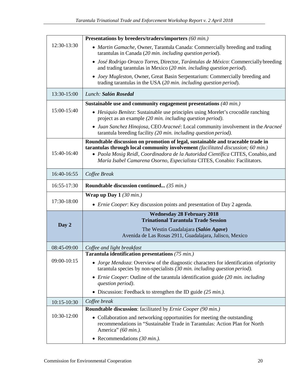|                                                                                        | Presentations by breeders/traders/importers (60 min.)                                                                                                                        |  |  |  |
|----------------------------------------------------------------------------------------|------------------------------------------------------------------------------------------------------------------------------------------------------------------------------|--|--|--|
| 12:30-13:30                                                                            | • Martin Gamache, Owner, Tarantula Canada: Commercially breeding and trading<br>tarantulas in Canada (20 min. including question period).                                    |  |  |  |
|                                                                                        | • José Rodrigo Orozco Torres, Director, Tarántulas de México: Commercially breeding<br>and trading tarantulas in Mexico (20 min. including question period).                 |  |  |  |
|                                                                                        | • Joey Mugleston, Owner, Great Basin Serpentarium: Commercially breeding and<br>trading tarantulas in the USA (20 min. including question period).                           |  |  |  |
| 13:30-15:00                                                                            | Lunch: Salón Rosedal                                                                                                                                                         |  |  |  |
|                                                                                        | Sustainable use and community engagement presentations $(40 \text{ min.})$                                                                                                   |  |  |  |
| 15:00-15:40                                                                            | • Hesiquio Benítez: Sustainable use principles using Morelet's crocodile ranching<br>project as an example (20 min. including question period).                              |  |  |  |
|                                                                                        | Juan Sanchez Hinojosa, CEO Aracneé: Local community involvement in the Aracneé<br>$\bullet$<br>tarantula breeding facility (20 min. including question period).              |  |  |  |
|                                                                                        | Roundtable discussion on promotion of legal, sustainable and traceable trade in                                                                                              |  |  |  |
| 15:40-16:40                                                                            | tarantulas through local community involvement (facilitated discussion; 60 min.)<br>• Paola Mosig Reidl, Coordinadora de la Autoridad Científica CITES, Conabio, and         |  |  |  |
|                                                                                        | María Isabel Camarena Osorno, Especialista CITES, Conabio: Facilitators.                                                                                                     |  |  |  |
|                                                                                        |                                                                                                                                                                              |  |  |  |
| 16:40-16:55                                                                            | Coffee Break                                                                                                                                                                 |  |  |  |
| 16:55-17:30                                                                            | <b>Roundtable discussion continued</b> (35 min.)                                                                                                                             |  |  |  |
|                                                                                        | Wrap up Day $1/30$ min.)                                                                                                                                                     |  |  |  |
| 17:30-18:00<br>• Ernie Cooper: Key discussion points and presentation of Day 2 agenda. |                                                                                                                                                                              |  |  |  |
|                                                                                        | <b>Wednesday 28 February 2018</b>                                                                                                                                            |  |  |  |
| Day 2                                                                                  | <b>Trinational Tarantula Trade Session</b>                                                                                                                                   |  |  |  |
|                                                                                        | The Westin Guadalajara (Salón Agave)                                                                                                                                         |  |  |  |
|                                                                                        | Avenida de Las Rosas 2911, Guadalajara, Jalisco, Mexico                                                                                                                      |  |  |  |
| 08:45-09:00                                                                            | Coffee and light breakfast                                                                                                                                                   |  |  |  |
|                                                                                        | Tarantula identification presentations (75 min.)                                                                                                                             |  |  |  |
| 09:00-10:15                                                                            | • Jorge Mendoza: Overview of the diagnostic characters for identification of priority<br>tarantula species by non-specialists $(30 \text{ min.}$ including question period). |  |  |  |
|                                                                                        |                                                                                                                                                                              |  |  |  |
|                                                                                        | • Ernie Cooper: Outline of the tarantula identification guide (20 min. including<br>question period).                                                                        |  |  |  |
|                                                                                        | • Discussion: Feedback to strengthen the ID guide $(25 \text{ min.})$ .                                                                                                      |  |  |  |
| 10:15-10:30                                                                            | Coffee break                                                                                                                                                                 |  |  |  |
|                                                                                        | Roundtable discussion: facilitated by Ernie Cooper (90 min.)                                                                                                                 |  |  |  |
| 10:30-12:00                                                                            | • Collaboration and networking opportunities for meeting the outstanding                                                                                                     |  |  |  |
|                                                                                        | recommendations in "Sustainable Trade in Tarantulas: Action Plan for North                                                                                                   |  |  |  |
|                                                                                        | America" (60 min.).<br>• Recommendations $(30 \text{ min.})$ .                                                                                                               |  |  |  |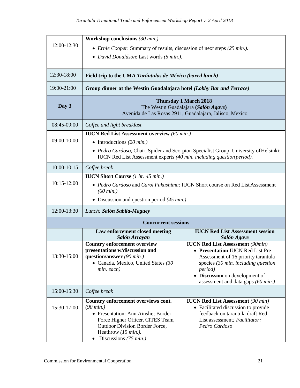|                 | Workshop conclusions (30 min.)                                                                                                                                                                                                           |                                                                                                                                                                                                                                                                 |  |  |
|-----------------|------------------------------------------------------------------------------------------------------------------------------------------------------------------------------------------------------------------------------------------|-----------------------------------------------------------------------------------------------------------------------------------------------------------------------------------------------------------------------------------------------------------------|--|--|
| 12:00-12:30     | • <i>Ernie Cooper</i> : Summary of results, discussion of next steps (25 min.).                                                                                                                                                          |                                                                                                                                                                                                                                                                 |  |  |
|                 | • David Donaldson: Last words (5 min.).                                                                                                                                                                                                  |                                                                                                                                                                                                                                                                 |  |  |
|                 |                                                                                                                                                                                                                                          |                                                                                                                                                                                                                                                                 |  |  |
| 12:30-18:00     | Field trip to the UMA Tarántulas de México (boxed lunch)                                                                                                                                                                                 |                                                                                                                                                                                                                                                                 |  |  |
| 19:00-21:00     | Group dinner at the Westin Guadalajara hotel (Lobby Bar and Terrace)                                                                                                                                                                     |                                                                                                                                                                                                                                                                 |  |  |
| Day 3           | <b>Thursday 1 March 2018</b><br>The Westin Guadalajara (Salón Agave)<br>Avenida de Las Rosas 2911, Guadalajara, Jalisco, Mexico                                                                                                          |                                                                                                                                                                                                                                                                 |  |  |
| 08:45-09:00     | Coffee and light breakfast                                                                                                                                                                                                               |                                                                                                                                                                                                                                                                 |  |  |
|                 | <b>IUCN Red List Assessment overview (60 min.)</b>                                                                                                                                                                                       |                                                                                                                                                                                                                                                                 |  |  |
| 09:00-10:00     | • Introductions $(20 \text{ min.})$                                                                                                                                                                                                      |                                                                                                                                                                                                                                                                 |  |  |
|                 | • Pedro Cardoso, Chair, Spider and Scorpion Specialist Group, University of Helsinki:<br>IUCN Red List Assessment experts (40 min. including question period).                                                                           |                                                                                                                                                                                                                                                                 |  |  |
| $10:00 - 10:15$ | Coffee break                                                                                                                                                                                                                             |                                                                                                                                                                                                                                                                 |  |  |
|                 | <b>IUCN Short Course</b> (1 hr. 45 min.)                                                                                                                                                                                                 |                                                                                                                                                                                                                                                                 |  |  |
| $10:15-12:00$   | • Pedro Cardoso and Carol Fukushima: IUCN Short course on Red List Assessment<br>$(60 \, min.)$                                                                                                                                          |                                                                                                                                                                                                                                                                 |  |  |
|                 | • Discussion and question period $(45 \text{ min.})$                                                                                                                                                                                     |                                                                                                                                                                                                                                                                 |  |  |
| 12:00-13:30     | Lunch: Salón Sabila-Maguey                                                                                                                                                                                                               |                                                                                                                                                                                                                                                                 |  |  |
|                 | <b>Concurrent sessions</b>                                                                                                                                                                                                               |                                                                                                                                                                                                                                                                 |  |  |
|                 | Law enforcement closed meeting<br>Salón Arrayan                                                                                                                                                                                          | <b>IUCN Red List Assessment session</b><br><b>Salón Agave</b>                                                                                                                                                                                                   |  |  |
| 13:30-15:00     | <b>Country enforcement overview</b><br>presentations w/discussion and<br>question/answer $(90 \text{ min.})$<br>• Canada, Mexico, United States (30<br>min. each)                                                                        | <b>IUCN Red List Assessment (90min)</b><br>• Presentation IUCN Red List Pre-<br>Assessment of 16 priority tarantula<br>species $(30 \text{ min.}$ including question<br><i>period</i> )<br>• Discussion on development of<br>assessment and data gaps (60 min.) |  |  |
| 15:00-15:30     | Coffee break                                                                                                                                                                                                                             |                                                                                                                                                                                                                                                                 |  |  |
| 15:30-17:00     | Country enforcement overviews cont.<br>$(90 \, min.)$<br>• Presentation: Ann Ainslie; Border<br>Force Higher Officer. CITES Team,<br>Outdoor Division Border Force,<br>Heathrow $(15 \text{ min.})$ .<br>Discussions $(75 \text{ min.})$ | <b>IUCN Red List Assessment</b> (90 min)<br>• Facilitated discussion to provide<br>feedback on tarantula draft Red<br>List assessment; Facilitator:<br>Pedro Cardoso                                                                                            |  |  |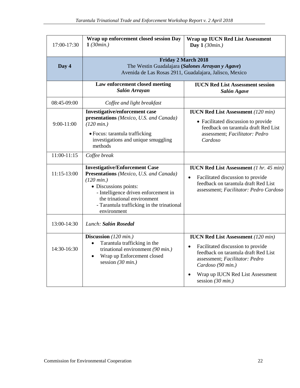| 17:00-17:30   | Wrap up enforcement closed session Day<br>1(30min.)                                                                                                                                                                                                              | <b>Wrap up IUCN Red List Assessment</b><br>Day $1(30min.)$                                                                                                                                                                                       |  |
|---------------|------------------------------------------------------------------------------------------------------------------------------------------------------------------------------------------------------------------------------------------------------------------|--------------------------------------------------------------------------------------------------------------------------------------------------------------------------------------------------------------------------------------------------|--|
| Day 4         | <b>Friday 2 March 2018</b><br>The Westin Guadalajara (Salones Arrayan y Agave)<br>Avenida de Las Rosas 2911, Guadalajara, Jalisco, Mexico                                                                                                                        |                                                                                                                                                                                                                                                  |  |
|               | Law enforcement closed meeting<br>Salón Arrayan                                                                                                                                                                                                                  | <b>IUCN Red List Assessment session</b><br>Salón Agave                                                                                                                                                                                           |  |
| 08:45-09:00   | Coffee and light breakfast                                                                                                                                                                                                                                       |                                                                                                                                                                                                                                                  |  |
| $9:00-11:00$  | <b>Investigative/enforcement case</b><br>presentations (Mexico, U.S. and Canada)<br>$(120 \, min.)$<br>· Focus: tarantula trafficking<br>investigations and unique smuggling<br>methods                                                                          | <b>IUCN Red List Assessment</b> (120 min)<br>• Facilitated discussion to provide<br>feedback on tarantula draft Red List<br>assessment; Facilitator: Pedro<br>Cardoso                                                                            |  |
| $11:00-11:15$ | Coffee break                                                                                                                                                                                                                                                     |                                                                                                                                                                                                                                                  |  |
| 11:15-13:00   | <b>Investigative/Enforcement Case</b><br>Presentations (Mexico, U.S. and Canada)<br>$(120 \, min.)$<br>• Discussions points:<br>- Intelligence driven enforcement in<br>the trinational environment<br>- Tarantula trafficking in the trinational<br>environment | <b>IUCN Red List Assessment</b> (1 hr. 45 min)<br>Facilitated discussion to provide<br>feedback on tarantula draft Red List<br>assessment; Facilitator: Pedro Cardoso                                                                            |  |
| 13:00-14:30   | Lunch: Salón Rosedal                                                                                                                                                                                                                                             |                                                                                                                                                                                                                                                  |  |
| 14:30-16:30   | Discussion (120 min.)<br>Tarantula trafficking in the<br>$\bullet$<br>trinational environment (90 min.)<br>Wrap up Enforcement closed<br>$\bullet$<br>session $(30 \text{ min.})$                                                                                | <b>IUCN Red List Assessment</b> (120 min)<br>Facilitated discussion to provide<br>feedback on tarantula draft Red List<br>assessment; Facilitator: Pedro<br>Cardoso (90 min.)<br>Wrap up IUCN Red List Assessment<br>session $(30 \text{ min.})$ |  |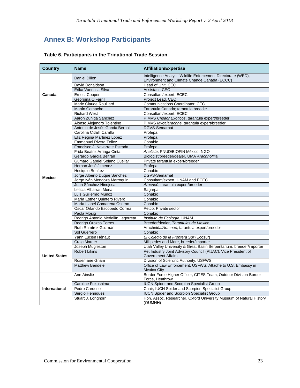# **Annex B: Workshop Participants**

| <b>Country</b>       | <b>Name</b>                                         | <b>Affiliation/Expertise</b>                                                                                                          |  |  |
|----------------------|-----------------------------------------------------|---------------------------------------------------------------------------------------------------------------------------------------|--|--|
|                      | <b>Daniel Dillon</b>                                | Intelligence Analyst, Wildlife Enforcement Directorate (WED),<br>Environment and Climate Change Canada (ECCC)                         |  |  |
|                      | David Donaldson                                     | Head of Unit. CEC                                                                                                                     |  |  |
|                      | Erika Vanessa Silva                                 | Assistant, CEC                                                                                                                        |  |  |
| Canada               | <b>Ernest Cooper</b>                                | Consultant/expert, ECEC                                                                                                               |  |  |
|                      | Georgina O'Farrill                                  | Project Lead, CEC                                                                                                                     |  |  |
|                      | Marie Claude Rouillard                              | Communications Coordinator, CEC                                                                                                       |  |  |
|                      | Martin Gamache                                      | Tarantula Canada; tarantula breeder                                                                                                   |  |  |
|                      | <b>Richard West</b>                                 | Consultant/expert, ECEC                                                                                                               |  |  |
|                      | Aaron Zuñiga Sanchez                                | PIMVS Crisaor Exóticos, tarantula expert/breeder                                                                                      |  |  |
|                      | Alonso Alejandro Tolentino                          | PIMVS Mygalarachne, tarantula expert/breeder                                                                                          |  |  |
|                      | Antonio de Jesús García Bernal                      | <b>DGVS-Semarnat</b>                                                                                                                  |  |  |
|                      | Carolina Citlalli Carrillo                          | Profepa                                                                                                                               |  |  |
|                      | Eliz Regina Martinez Lopez                          | Profepa                                                                                                                               |  |  |
|                      | <b>Emmanuel Rivera Tellez</b>                       | Conabio                                                                                                                               |  |  |
|                      | Francisco J. Navarrete Estrada                      | Profepa                                                                                                                               |  |  |
|                      | Frida Beatriz Arriaga Cinta                         | Analista, PNUD/BIOFIN México, NGO                                                                                                     |  |  |
|                      | Gerardo García Beltran                              | Biologist/breeder/dealer, UMA Arachnofilia                                                                                            |  |  |
|                      | Gumaro Gabriel Solano Cuéllar                       | Private tarantula expert/breeder                                                                                                      |  |  |
|                      | Hernan José Jimenez                                 | Profepa                                                                                                                               |  |  |
|                      | Hesiquio Benítez                                    | Conabio                                                                                                                               |  |  |
| <b>Mexico</b>        | <b>DGVS-Semarnat</b><br>Jorge Alberto Duque Sánchez |                                                                                                                                       |  |  |
|                      | Jorge Iván Mendoza Marroquin                        | Consultant/expert, UNAM and ECEC                                                                                                      |  |  |
|                      | Juan Sánchez Hinojosa                               | Aracneé, tarantula expert/breeder                                                                                                     |  |  |
|                      | Leticia Albarran Mena                               | Sagarpa                                                                                                                               |  |  |
|                      | Luis Guillermo Muñoz                                | Conabio                                                                                                                               |  |  |
|                      | María Esther Quintero Rivero                        | Conabio                                                                                                                               |  |  |
|                      | María Isabel Camarena Osorno                        | Conabio                                                                                                                               |  |  |
|                      | Oscar Orlando Escobedo Correa                       | Petco, Private sector                                                                                                                 |  |  |
|                      | Paola Mosig                                         | Conabio                                                                                                                               |  |  |
|                      | Rodrigo Antonio Medellín Legorreta                  | Instituto de Ecología, UNAM                                                                                                           |  |  |
|                      | Rodrigo Orozco Torres                               | Breeder/dealer, Tarantulas de Mexico                                                                                                  |  |  |
|                      | Ruth Ramírez Guzmán                                 | Arachnida/Aracneé, tarantula expert/breeder                                                                                           |  |  |
|                      | Sol Guerrero                                        | Conabio                                                                                                                               |  |  |
|                      | Yann Lucien Hénaut                                  | El Colegio de la Frontera Sur (Ecosur)                                                                                                |  |  |
|                      | Craig Marder                                        | Millipedes and More, breeder/importer                                                                                                 |  |  |
|                      | Joseph Mugleston<br><b>Robert Likins</b>            | Utah Valley University & Great Basin Serpentarium, breeder/importer<br>Pet Industry Joint Advisory Council (PIJAC), Vice President of |  |  |
| <b>United States</b> |                                                     | <b>Government Affairs</b>                                                                                                             |  |  |
|                      | Rosemarie Gnam                                      | Division of Scientific Authority, USFWS                                                                                               |  |  |
|                      | <b>Matthew Bendele</b>                              | Office of Law Enforcement, USFWS, Attaché to U.S. Embassy in                                                                          |  |  |
|                      |                                                     | <b>Mexico City</b>                                                                                                                    |  |  |
|                      | Ann Ainslie                                         | Border Force Higher Officer, CITES Team, Outdoor Division-Border                                                                      |  |  |
|                      |                                                     | Force, Heathrow                                                                                                                       |  |  |
|                      | Caroline Fukushima                                  | <b>IUCN Spider and Scorpion Specialist Group</b>                                                                                      |  |  |
| International        | Pedro Cardoso                                       | Chair, IUCN Spider and Scorpion Specialist Group                                                                                      |  |  |
|                      | Sergio Henriques                                    | <b>IUCN Spider and Scorpion Specialist Group</b>                                                                                      |  |  |
|                      | Stuart J. Longhorn                                  | Hon. Assoc. Researcher, Oxford University Museum of Natural History                                                                   |  |  |
|                      |                                                     | (OUMNH)                                                                                                                               |  |  |

### **Table 6. Participants in the Trinational Trade Session**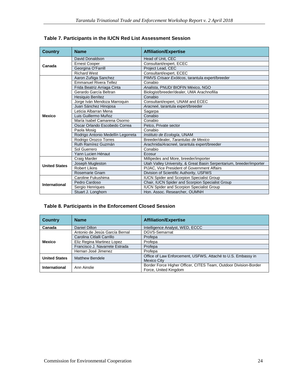| <b>Country</b>       | <b>Name</b>                        | <b>Affiliation/Expertise</b>                                         |
|----------------------|------------------------------------|----------------------------------------------------------------------|
| Canada               | David Donaldson                    | Head of Unit, CEC                                                    |
|                      | <b>Ernest Cooper</b>               | Consultant/expert, ECEC                                              |
|                      | Georgina O'Farrill                 | Project Lead, CEC                                                    |
|                      | <b>Richard West</b>                | Consultant/expert, ECEC                                              |
|                      | Aaron Zuñiga Sanchez               | PIMVS Crisaor Exóticos, tarantula expert/breeder                     |
|                      | <b>Emmanuel Rivera Tellez</b>      | Conabio                                                              |
|                      | Frida Beatriz Arriaga Cinta        | Analista, PNUD/ BIOFIN México, NGO                                   |
|                      | Gerardo García Beltran             | Biologist/breeder/dealer, UMA Arachnofilia                           |
|                      | Hesiquio Benítez                   | Conabio                                                              |
|                      | Jorge Iván Mendoza Marroquin       | Consultant/expert, UNAM and ECEC                                     |
|                      | Juan Sánchez Hinojosa              | Aracneé, tarantula expert/breeder                                    |
|                      | Leticia Albarran Mena              | Sagarpa                                                              |
| <b>Mexico</b>        | Luis Guillermo Muñoz               | Conabio                                                              |
|                      | María Isabel Camarena Osorno       | Conabio                                                              |
|                      | Oscar Orlando Escobedo Correa      | Petco. Private sector                                                |
|                      | Paola Mosig                        | Conabio                                                              |
|                      | Rodrigo Antonio Medellín Legorreta | Instituto de Ecología, UNAM                                          |
|                      | Rodrigo Orozco Torres              | Breeder/dealer, Tarantulas de Mexico                                 |
|                      | Ruth Ramírez Guzmán                | Arachnida/Aracneé, tarantula expert/breeder                          |
|                      | Sol Guerrero                       | Conabio                                                              |
|                      | Yann Lucien Hénaut                 | Ecosur                                                               |
|                      | Craig Marder                       | Millipedes and More, breeder/importer                                |
| <b>United States</b> | Joseph Mugleston                   | Utah Valley University, & Great Basin Serpentarium, breeder/importer |
|                      | <b>Robert Likins</b>               | <b>PIJAC.</b> Vice President of Government Affairs                   |
|                      | Rosemarie Gnam                     | Division of Scientific Authority, USFWS                              |
|                      | Caroline Fukushima                 | <b>IUCN Spider and Scorpion Specialist Group</b>                     |
| International        | Pedro Cardoso                      | Chair, IUCN Spider and Scorpion Specialist Group                     |
|                      | Sergio Henriques                   | <b>IUCN Spider and Scorpion Specialist Group</b>                     |
|                      | Stuart J. Longhorn                 | Hon. Assoc. Researcher. OUMNH                                        |

|  |  | Table 7. Participants in the IUCN Red List Assessment Session |  |
|--|--|---------------------------------------------------------------|--|
|  |  |                                                               |  |

### **Table 8. Participants in the Enforcement Closed Session**

| <b>Country</b>       | <b>Name</b>                    | <b>Affiliation/Expertise</b>                                     |
|----------------------|--------------------------------|------------------------------------------------------------------|
| Canada               | Daniel Dillon                  | Intelligence Analyst, WED, ECCC                                  |
|                      | Antonio de Jesús García Bernal | DGVS-Semarnat                                                    |
|                      | Carolina Citlalli Carrillo     | Profepa                                                          |
| <b>Mexico</b>        | Eliz Regina Martinez Lopez     | Profepa                                                          |
|                      | Francisco J. Navarrete Estrada | Profepa                                                          |
|                      | Hernan José Jimenez            | Profepa                                                          |
| <b>United States</b> | <b>Matthew Bendele</b>         | Office of Law Enforcement, USFWS, Attaché to U.S. Embassy in     |
|                      |                                | <b>Mexico City</b>                                               |
| International        | Ann Ainslie                    | Border Force Higher Officer, CITES Team, Outdoor Division-Border |
|                      |                                | Force, United Kingdom                                            |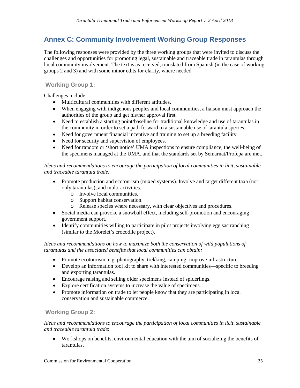## **Annex C: Community Involvement Working Group Responses**

The following responses were provided by the three working groups that were invited to discuss the challenges and opportunities for promoting legal, sustainable and traceable trade in tarantulas through local community involvement. The text is as received, translated from Spanish (in the case of working groups 2 and 3) and with some minor edits for clarity, where needed.

### **Working Group 1:**

Challenges include:

- Multicultural communities with different attitudes.
- When engaging with indigenous peoples and local communities, a liaison must approach the authorities of the group and get his/her approval first.
- Need to establish a starting point/baseline for traditional knowledge and use of tarantulas in the community in order to set a path forward to a sustainable use of tarantula species.
- Need for government financial incentive and training to set up a breeding facility.
- Need for security and supervision of employees.
- Need for random or 'short notice' UMA inspections to ensure compliance, the well-being of the specimens managed at the UMA, and that the standards set by Semarnat/Profepa are met.

### *Ideas and recommendations to encourage the participation of local communities in licit, sustainable and traceable tarantula trade:*

- Promote production and ecotourism (mixed systems). Involve and target different taxa (not only tarantulas), and multi-activities.
	- o Involve local communities.
	- o Support habitat conservation.
	- o Release species where necessary, with clear objectives and procedures.
- Social media can provoke a snowball effect, including self-promotion and encouraging government support.
- Identify communities willing to participate in pilot projects involving egg sac ranching (similar to the Morelet's crocodile project).

Ideas and recommendations on how to maximize both the conservation of wild populations of *tarantulas and the associated benefits that local communities can obtain:*

- Promote ecotourism, e.g. photography, trekking, camping; improve infrastructure.
- Develop an information tool kit to share with interested communities—specific to breeding and exporting tarantulas.
- Encourage raising and selling older specimens instead of spiderlings.
- Explore certification systems to increase the value of specimens.
- Promote information on trade to let people know that they are participating in local conservation and sustainable commerce.

### **Working Group 2:**

*Ideas and recommendations to encourage the participation of local communities in licit, sustainable and traceable tarantula trade*:

• Workshops on benefits, environmental education with the aim of socializing the benefits of tarantulas.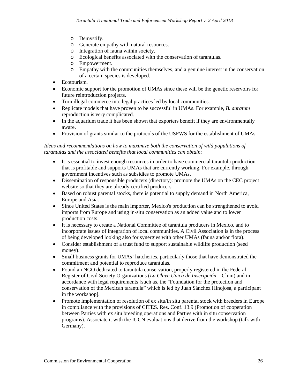- o Demystify.
- o Generate empathy with natural resources.
- o Integration of fauna within society.
- o Ecological benefits associated with the conservation of tarantulas.
- o Empowerment.
- o Empathy with the communities themselves, and a genuine interest in the conservation of a certain species is developed.
- Ecotourism.
- Economic support for the promotion of UMAs since these will be the genetic reservoirs for future reintroduction projects.
- Turn illegal commerce into legal practices led by local communities.
- Replicate models that have proven to be successful in UMAs. For example, *B. auratum* reproduction is very complicated.
- In the aquarium trade it has been shown that exporters benefit if they are environmentally aware.
- Provision of grants similar to the protocols of the USFWS for the establishment of UMAs.

#### Ideas and recommendations on how to maximize both the conservation of wild populations of *tarantulas and the associated benefits that local communities can obtain*:

- It is essential to invest enough resources in order to have commercial tarantula production that is profitable and supports UMAs that are currently working. For example, through government incentives such as subsidies to promote UMAs.
- Dissemination of responsible producers (directory): promote the UMAs on the CEC project website so that they are already certified producers.
- Based on robust parental stocks, there is potential to supply demand in North America, Europe and Asia.
- Since United States is the main importer, Mexico's production can be strengthened to avoid imports from Europe and using in-situ conservation as an added value and to lower production costs.
- It is necessary to create a National Committee of tarantula producers in Mexico, and to incorporate issues of integration of local communities. A Civil Association is in the process of being developed looking also for synergies with other UMAs (fauna and/or flora).
- Consider establishment of a trust fund to support sustainable wildlife production (seed money).
- Small business grants for UMAs' hatcheries, particularly those that have demonstrated the commitment and potential to reproduce tarantulas.
- Found an NGO dedicated to tarantula conservation, properly registered in the Federal Register of Civil Society Organizations (*La Clave Única de Inscripción*—Cluni) and in accordance with legal requirements [such as, the "Foundation for the protection and conservation of the Mexican tarantula" which is led by Juan Sánchez Hinojosa, a participant in the workshop].
- Promote implementation of resolution of ex situ/in situ parental stock with breeders in Europe in compliance with the provisions of CITES. Res. Conf. 13.9 (Promotion of cooperation between Parties with ex situ breeding operations and Parties with in situ conservation programs). Associate it with the IUCN evaluations that derive from the workshop (talk with Germany).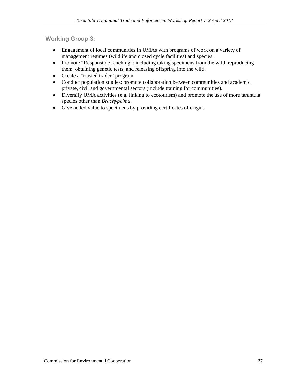**Working Group 3:**

- Engagement of local communities in UMAs with programs of work on a variety of management regimes (wildlife and closed cycle facilities) and species.
- Promote "Responsible ranching": including taking specimens from the wild, reproducing them, obtaining genetic tests, and releasing offspring into the wild.
- Create a "trusted trader" program.
- Conduct population studies; promote collaboration between communities and academic, private, civil and governmental sectors (include training for communities).
- Diversify UMA activities (e.g. linking to ecotourism) and promote the use of more tarantula species other than *Brachypelma*.
- Give added value to specimens by providing certificates of origin.